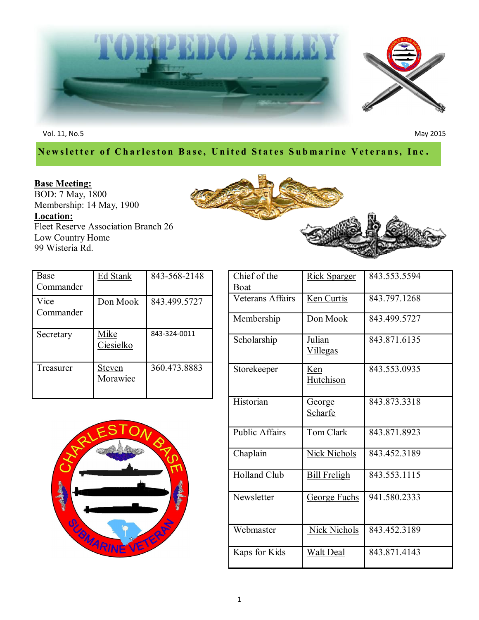

Vol. 11, No.5 May 2015

# **Newsletter of Charleston Base, United States Submarine Veterans, Inc.**

# **Base Meeting:**





| Base      | Ed Stank  | 843-568-2148 |
|-----------|-----------|--------------|
| Commander |           |              |
| Vice      | Don Mook  | 843.499.5727 |
| Commander |           |              |
|           |           |              |
| Secretary | Mike      | 843-324-0011 |
|           | Ciesielko |              |
|           |           |              |
| Treasurer | Steven    | 360.473.8883 |
|           | Morawiec  |              |
|           |           |              |



| Chief of the<br>Boat  | <b>Rick Sparger</b>              | 843.553.5594 |
|-----------------------|----------------------------------|--------------|
| Veterans Affairs      | <b>Ken Curtis</b>                | 843.797.1268 |
| Membership            | Don Mook                         | 843.499.5727 |
| Scholarship           | <b>Julian</b><br><b>Villegas</b> | 843.871.6135 |
| Storekeeper           | Ken<br>Hutchison                 | 843.553.0935 |
| Historian             | <u>George</u><br>Scharfe         | 843.873.3318 |
| <b>Public Affairs</b> | Tom Clark                        | 843.871.8923 |
| Chaplain              | <b>Nick Nichols</b>              | 843.452.3189 |
| <b>Holland Club</b>   | <b>Bill Freligh</b>              | 843.553.1115 |
| Newsletter            | <b>George Fuchs</b>              | 941.580.2333 |
| Webmaster             | Nick Nichols                     | 843.452.3189 |
| Kaps for Kids         | Walt Deal                        | 843.871.4143 |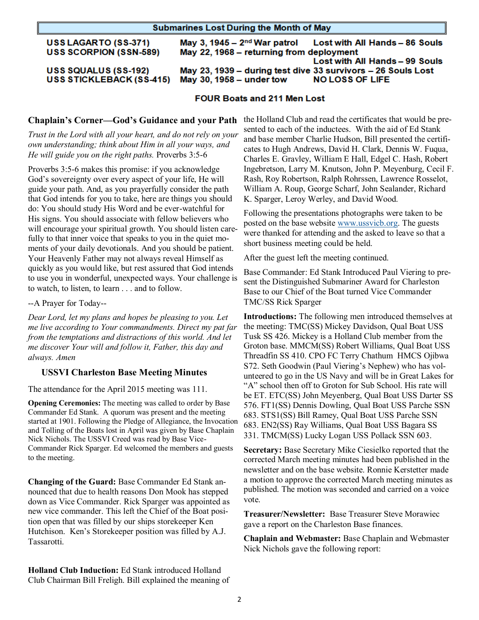#### **Submarines Lost During the Month of May**

#### USS LAGARTO (SS-371) **USS SCORPION (SSN-589)**

USS SQUALUS (SS-192) USS STICKLEBACK (SS-415)

May 3, 1945 -  $2<sup>nd</sup>$  War patrol Lost with All Hands - 86 Souls May 22, 1968 - returning from deployment Lost with All Hands - 99 Souls May 23, 1939 - during test dive 33 survivors - 26 Souls Lost May 30, 1958 - under tow **NO LOSS OF LIFE** 

#### **FOUR Boats and 211 Men Lost**

*Trust in the Lord with all your heart, and do not rely on your own understanding; think about Him in all your ways, and He will guide you on the right paths.* Proverbs 3:5-6

Proverbs 3:5-6 makes this promise: if you acknowledge God's sovereignty over every aspect of your life, He will guide your path. And, as you prayerfully consider the path that God intends for you to take, here are things you should do: You should study His Word and be ever-watchful for His signs. You should associate with fellow believers who will encourage your spiritual growth. You should listen carefully to that inner voice that speaks to you in the quiet moments of your daily devotionals. And you should be patient. Your Heavenly Father may not always reveal Himself as quickly as you would like, but rest assured that God intends to use you in wonderful, unexpected ways. Your challenge is to watch, to listen, to learn . . . and to follow.

--A Prayer for Today--

*Dear Lord, let my plans and hopes be pleasing to you. Let me live according to Your commandments. Direct my pat far from the temptations and distractions of this world. And let me discover Your will and follow it, Father, this day and always. Amen*

#### **USSVI Charleston Base Meeting Minutes**

The attendance for the April 2015 meeting was 111.

**Opening Ceremonies:** The meeting was called to order by Base Commander Ed Stank. A quorum was present and the meeting started at 1901. Following the Pledge of Allegiance, the Invocation and Tolling of the Boats lost in April was given by Base Chaplain Nick Nichols. The USSVI Creed was read by Base Vice-Commander Rick Sparger. Ed welcomed the members and guests to the meeting.

**Changing of the Guard:** Base Commander Ed Stank announced that due to health reasons Don Mook has stepped down as Vice Commander. Rick Sparger was appointed as new vice commander. This left the Chief of the Boat position open that was filled by our ships storekeeper Ken Hutchison. Ken's Storekeeper position was filled by A.J. Tassarotti.

**Holland Club Induction:** Ed Stank introduced Holland Club Chairman Bill Freligh. Bill explained the meaning of

**Chaplain's Corner—God's Guidance and your Path** the Holland Club and read the certificates that would be presented to each of the inductees. With the aid of Ed Stank and base member Charlie Hudson, Bill presented the certificates to Hugh Andrews, David H. Clark, Dennis W. Fuqua, Charles E. Gravley, William E Hall, Edgel C. Hash, Robert Ingebretson, Larry M. Knutson, John P. Meyenburg, Cecil F. Rash, Roy Robertson, Ralph Rohrssen, Lawrence Rosselot, William A. Roup, George Scharf, John Sealander, Richard K. Sparger, Leroy Werley, and David Wood.

> Following the presentations photographs were taken to be posted on the base website [www.ussvicb.org.](http://www.ussvicb.org) The guests were thanked for attending and the asked to leave so that a short business meeting could be held.

After the guest left the meeting continued.

Base Commander: Ed Stank Introduced Paul Viering to present the Distinguished Submariner Award for Charleston Base to our Chief of the Boat turned Vice Commander TMC/SS Rick Sparger

**Introductions:** The following men introduced themselves at the meeting: TMC(SS) Mickey Davidson, Qual Boat USS Tusk SS 426. Mickey is a Holland Club member from the Groton base. MMCM(SS) Robert Williams, Qual Boat USS Threadfin SS 410. CPO FC Terry Chathum HMCS Ojibwa S72. Seth Goodwin (Paul Viering's Nephew) who has volunteered to go in the US Navy and will be in Great Lakes for "A" school then off to Groton for Sub School. His rate will be ET. ETC(SS) John Meyenberg, Qual Boat USS Darter SS 576. FT1(SS) Dennis Dowling, Qual Boat USS Parche SSN 683. STS1(SS) Bill Ramey, Qual Boat USS Parche SSN 683. EN2(SS) Ray Williams, Qual Boat USS Bagara SS 331. TMCM(SS) Lucky Logan USS Pollack SSN 603.

**Secretary:** Base Secretary Mike Ciesielko reported that the corrected March meeting minutes had been published in the newsletter and on the base website. Ronnie Kerstetter made a motion to approve the corrected March meeting minutes as published. The motion was seconded and carried on a voice vote.

**Treasurer/Newsletter:** Base Treasurer Steve Morawiec gave a report on the Charleston Base finances.

**Chaplain and Webmaster:** Base Chaplain and Webmaster Nick Nichols gave the following report: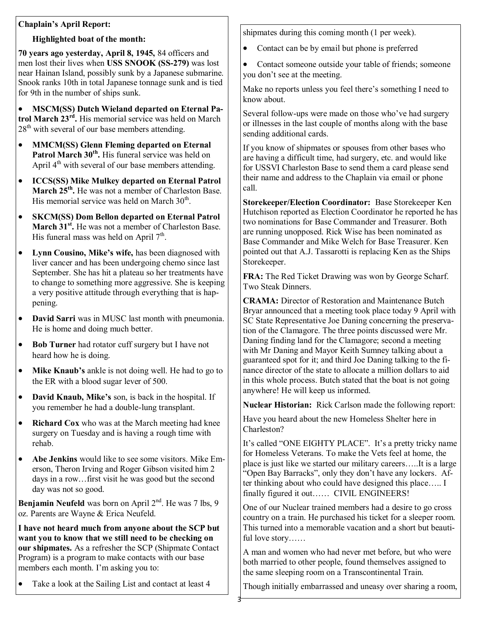# **Chaplain's April Report:**

#### **Highlighted boat of the month:**

**70 years ago yesterday, April 8, 1945,** 84 officers and men lost their lives when **USS SNOOK (SS-279)** was lost near Hainan Island, possibly sunk by a Japanese submarine. Snook ranks 10th in total Japanese tonnage sunk and is tied for 9th in the number of ships sunk.

 **MSCM(SS) Dutch Wieland departed on Eternal Patrol March 23rd .** His memorial service was held on March 28<sup>th</sup> with several of our base members attending.

- **MMCM(SS) Glenn Fleming departed on Eternal**  Patrol March 30<sup>th</sup>. His funeral service was held on April 4<sup>th</sup> with several of our base members attending.
- **ICCS(SS) Mike Mulkey departed on Eternal Patrol**  March 25<sup>th</sup>. He was not a member of Charleston Base. His memorial service was held on March 30<sup>th</sup>.
- **SKCM(SS) Dom Bellon departed on Eternal Patrol**  March 31<sup>st</sup>. He was not a member of Charleston Base. His funeral mass was held on April  $7<sup>th</sup>$ .
- **Lynn Cousino, Mike's wife,** has been diagnosed with liver cancer and has been undergoing chemo since last September. She has hit a plateau so her treatments have to change to something more aggressive. She is keeping a very positive attitude through everything that is happening.
- **David Sarri** was in MUSC last month with pneumonia. He is home and doing much better.
- **Bob Turner** had rotator cuff surgery but I have not heard how he is doing.
- **Mike Knaub's** ankle is not doing well. He had to go to the ER with a blood sugar lever of 500.
- **David Knaub, Mike's** son, is back in the hospital. If you remember he had a double-lung transplant.
- **Richard Cox** who was at the March meeting had knee surgery on Tuesday and is having a rough time with rehab.
- **Abe Jenkins** would like to see some visitors. Mike Emerson, Theron Irving and Roger Gibson visited him 2 days in a row…first visit he was good but the second day was not so good.

**Benjamin Neufeld** was born on April 2<sup>nd</sup>. He was 7 lbs, 9 oz. Parents are Wayne & Erica Neufeld.

**I have not heard much from anyone about the SCP but want you to know that we still need to be checking on our shipmates.** As a refresher the SCP (Shipmate Contact Program) is a program to make contacts with our base members each month. I'm asking you to:

• Take a look at the Sailing List and contact at least 4

shipmates during this coming month (1 per week).

- Contact can be by email but phone is preferred
- Contact someone outside your table of friends; someone you don't see at the meeting.

Make no reports unless you feel there's something I need to know about.

Several follow-ups were made on those who've had surgery or illnesses in the last couple of months along with the base sending additional cards.

If you know of shipmates or spouses from other bases who are having a difficult time, had surgery, etc. and would like for USSVI Charleston Base to send them a card please send their name and address to the Chaplain via email or phone call.

**Storekeeper/Election Coordinator:** Base Storekeeper Ken Hutchison reported as Election Coordinator he reported he has two nominations for Base Commander and Treasurer. Both are running unopposed. Rick Wise has been nominated as Base Commander and Mike Welch for Base Treasurer. Ken pointed out that A.J. Tassarotti is replacing Ken as the Ships Storekeeper.

**FRA:** The Red Ticket Drawing was won by George Scharf. Two Steak Dinners.

**CRAMA:** Director of Restoration and Maintenance Butch Bryar announced that a meeting took place today 9 April with SC State Representative Joe Daning concerning the preservation of the Clamagore. The three points discussed were Mr. Daning finding land for the Clamagore; second a meeting with Mr Daning and Mayor Keith Sumney talking about a guaranteed spot for it; and third Joe Daning talking to the finance director of the state to allocate a million dollars to aid in this whole process. Butch stated that the boat is not going anywhere! He will keep us informed.

**Nuclear Historian:** Rick Carlson made the following report:

Have you heard about the new Homeless Shelter here in Charleston?

It's called "ONE EIGHTY PLACE". It's a pretty tricky name for Homeless Veterans. To make the Vets feel at home, the place is just like we started our military careers…..It is a large "Open Bay Barracks", only they don't have any lockers. After thinking about who could have designed this place….. I finally figured it out…… CIVIL ENGINEERS!

One of our Nuclear trained members had a desire to go cross country on a train. He purchased his ticket for a sleeper room. This turned into a memorable vacation and a short but beautiful love story……

A man and women who had never met before, but who were both married to other people, found themselves assigned to the same sleeping room on a Transcontinental Train.

Though initially embarrassed and uneasy over sharing a room,

3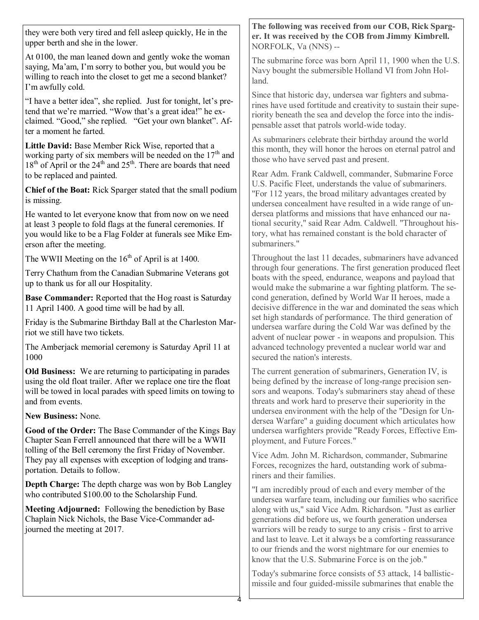they were both very tired and fell asleep quickly, He in the upper berth and she in the lower.

At 0100, the man leaned down and gently woke the woman saying, Ma'am, I'm sorry to bother you, but would you be willing to reach into the closet to get me a second blanket? I'm awfully cold.

"I have a better idea", she replied. Just for tonight, let's pretend that we're married. "Wow that's a great idea!" he exclaimed. "Good," she replied. "Get your own blanket". After a moment he farted.

**Little David:** Base Member Rick Wise, reported that a working party of six members will be needed on the  $17<sup>th</sup>$  and  $18<sup>th</sup>$  of April or the 24<sup>th</sup> and 25<sup>th</sup>. There are boards that need to be replaced and painted.

**Chief of the Boat:** Rick Sparger stated that the small podium is missing.

He wanted to let everyone know that from now on we need at least 3 people to fold flags at the funeral ceremonies. If you would like to be a Flag Folder at funerals see Mike Emerson after the meeting.

The WWII Meeting on the  $16<sup>th</sup>$  of April is at 1400.

Terry Chathum from the Canadian Submarine Veterans got up to thank us for all our Hospitality.

**Base Commander:** Reported that the Hog roast is Saturday 11 April 1400. A good time will be had by all.

Friday is the Submarine Birthday Ball at the Charleston Marriot we still have two tickets.

The Amberjack memorial ceremony is Saturday April 11 at 1000

**Old Business:** We are returning to participating in parades using the old float trailer. After we replace one tire the float will be towed in local parades with speed limits on towing to and from events.

**New Business:** None.

**Good of the Order:** The Base Commander of the Kings Bay Chapter Sean Ferrell announced that there will be a WWII tolling of the Bell ceremony the first Friday of November. They pay all expenses with exception of lodging and transportation. Details to follow.

**Depth Charge:** The depth charge was won by Bob Langley who contributed \$100.00 to the Scholarship Fund.

**Meeting Adjourned:** Following the benediction by Base Chaplain Nick Nichols, the Base Vice-Commander adjourned the meeting at 2017.

#### **The following was received from our COB, Rick Sparger. It was received by the COB from Jimmy Kimbrell.**  NORFOLK, Va (NNS) --

The submarine force was born April 11, 1900 when the U.S. Navy bought the submersible Holland VI from John Holland.

Since that historic day, undersea war fighters and submarines have used fortitude and creativity to sustain their superiority beneath the sea and develop the force into the indispensable asset that patrols world-wide today.

As submariners celebrate their birthday around the world this month, they will honor the heroes on eternal patrol and those who have served past and present.

Rear Adm. Frank Caldwell, commander, Submarine Force U.S. Pacific Fleet, understands the value of submariners. "For 112 years, the broad military advantages created by undersea concealment have resulted in a wide range of undersea platforms and missions that have enhanced our national security," said Rear Adm. Caldwell. "Throughout history, what has remained constant is the bold character of submariners."

Throughout the last 11 decades, submariners have advanced through four generations. The first generation produced fleet boats with the speed, endurance, weapons and payload that would make the submarine a war fighting platform. The second generation, defined by World War II heroes, made a decisive difference in the war and dominated the seas which set high standards of performance. The third generation of undersea warfare during the Cold War was defined by the advent of nuclear power - in weapons and propulsion. This advanced technology prevented a nuclear world war and secured the nation's interests.

The current generation of submariners, Generation IV, is being defined by the increase of long-range precision sensors and weapons. Today's submariners stay ahead of these threats and work hard to preserve their superiority in the undersea environment with the help of the "Design for Undersea Warfare" a guiding document which articulates how undersea warfighters provide "Ready Forces, Effective Employment, and Future Forces."

Vice Adm. John M. Richardson, commander, Submarine Forces, recognizes the hard, outstanding work of submariners and their families.

"I am incredibly proud of each and every member of the undersea warfare team, including our families who sacrifice along with us," said Vice Adm. Richardson. "Just as earlier generations did before us, we fourth generation undersea warriors will be ready to surge to any crisis - first to arrive and last to leave. Let it always be a comforting reassurance to our friends and the worst nightmare for our enemies to know that the U.S. Submarine Force is on the job."

Today's submarine force consists of 53 attack, 14 ballisticmissile and four guided-missile submarines that enable the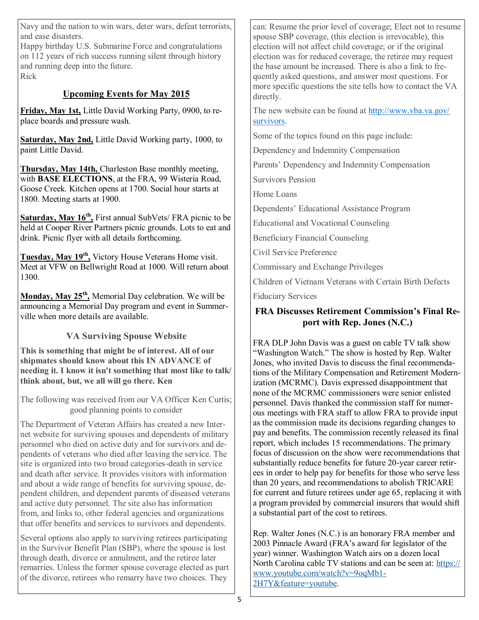Navy and the nation to win wars, deter wars, defeat terrorists, and ease disasters.

Happy birthday U.S. Submarine Force and congratulations on 112 years of rich success running silent through history and running deep into the future. Rick

# **Upcoming Events for May 2015**

**Friday, May 1st,** Little David Working Party, 0900, to replace boards and pressure wash.

**Saturday, May 2nd,** Little David Working party, 1000, to paint Little David.

**Thursday, May 14th,** Charleston Base monthly meeting, with **BASE ELECTIONS**, at the FRA, 99 Wisteria Road, Goose Creek. Kitchen opens at 1700. Social hour starts at 1800. Meeting starts at 1900.

Saturday, May 16<sup>th</sup>, First annual SubVets/ FRA picnic to be held at Cooper River Partners picnic grounds. Lots to eat and drink. Picnic flyer with all details forthcoming.

**Tuesday, May 19th ,** Victory House Veterans Home visit. Meet at VFW on Bellwright Road at 1000. Will return about 1300.

**Monday, May 25th ,** Memorial Day celebration. We will be announcing a Memorial Day program and event in Summerville when more details are available.

**VA Surviving Spouse Website**

**This is something that might be of interest. All of our shipmates should know about this IN ADVANCE of needing it. I know it isn't something that most like to talk/ think about, but, we all will go there. Ken**

The following was received from our VA Officer Ken Curtis; good planning points to consider

The Department of Veteran Affairs has created a new Internet website for surviving spouses and dependents of military personnel who died on active duty and for survivors and dependents of veterans who died after leaving the service. The site is organized into two broad categories-death in service and death after service. It provides visitors with information and about a wide range of benefits for surviving spouse, dependent children, and dependent parents of diseased veterans and active duty personnel. The site also has information from, and links to, other federal agencies and organizations that offer benefits and services to survivors and dependents.

Several options also apply to surviving retirees participating in the Survivor Benefit Plan (SBP), where the spouse is lost through death, divorce or annulment, and the retiree later remarries. Unless the former spouse coverage elected as part of the divorce, retirees who remarry have two choices. They

can: Resume the prior level of coverage; Elect not to resume spouse SBP coverage, (this election is irrevocable), this election will not affect child coverage; or if the original election was for reduced coverage, the retiree may request the base amount be increased. There is also a link to frequently asked questions, and answer most questions. For more specific questions the site tells how to contact the VA directly.

The new website can be found at [http://www.vba.va.gov/](http://www.vba.va.gov/survivors) [survivors.](http://www.vba.va.gov/survivors)

Some of the topics found on this page include:

Dependency and Indemnity Compensation

Parents' Dependency and Indemnity Compensation

Survivors Pension

Home Loans

Dependents' Educational Assistance Program

Educational and Vocational Counseling

Beneficiary Financial Counseling

Civil Service Preference

Commissary and Exchange Privileges

Children of Vietnam Veterans with Certain Birth Defects

Fiduciary Services

# **FRA Discusses Retirement Commission's Final Report with Rep. Jones (N.C.)**

FRA DLP John Davis was a guest on cable TV talk show "Washington Watch." The show is hosted by Rep. Walter Jones, who invited Davis to discuss the final recommendations of the Military Compensation and Retirement Modernization (MCRMC). Davis expressed disappointment that none of the MCRMC commissioners were senior enlisted personnel. Davis thanked the commission staff for numerous meetings with FRA staff to allow FRA to provide input as the commission made its decisions regarding changes to pay and benefits. The commission recently released its final report, which includes 15 recommendations. The primary focus of discussion on the show were recommendations that substantially reduce benefits for future 20-year career retirees in order to help pay for benefits for those who serve less than 20 years, and recommendations to abolish TRICARE for current and future retirees under age 65, replacing it with a program provided by commercial insurers that would shift a substantial part of the cost to retirees.

Rep. Walter Jones (N.C.) is an honorary FRA member and 2003 Pinnacle Award (FRA's award for legislator of the year) winner. Washington Watch airs on a dozen local North Carolina cable TV stations and can be seen at: [https://](http://cqrcengage.com/fra/app/thru?ep=AAAAC2Flc0NpcGhlcjAx_1z-h5U6S-1NanhIEyh_NvToO5Z568iWyS6ir4co1Sc3fT7F4tut079aREcHdbpWFdDQejbXQNKDC1DPS2Il3_5UgyFRlEM7HXxKG8BQ77XmRc90zWYfrHtIKPYv-7ijqIjC-UKmJRtgXZ4cSuFVCcYrmH1_wBj47yhBbEB1eBqEsFwkAdqpYSLPavhsqLcE&lp=0) [www.youtube.com/watch?v=9oqMb1](http://cqrcengage.com/fra/app/thru?ep=AAAAC2Flc0NpcGhlcjAx_1z-h5U6S-1NanhIEyh_NvToO5Z568iWyS6ir4co1Sc3fT7F4tut079aREcHdbpWFdDQejbXQNKDC1DPS2Il3_5UgyFRlEM7HXxKG8BQ77XmRc90zWYfrHtIKPYv-7ijqIjC-UKmJRtgXZ4cSuFVCcYrmH1_wBj47yhBbEB1eBqEsFwkAdqpYSLPavhsqLcE&lp=0)- [2H7Y&feature=youtube.](http://cqrcengage.com/fra/app/thru?ep=AAAAC2Flc0NpcGhlcjAx_1z-h5U6S-1NanhIEyh_NvToO5Z568iWyS6ir4co1Sc3fT7F4tut079aREcHdbpWFdDQejbXQNKDC1DPS2Il3_5UgyFRlEM7HXxKG8BQ77XmRc90zWYfrHtIKPYv-7ijqIjC-UKmJRtgXZ4cSuFVCcYrmH1_wBj47yhBbEB1eBqEsFwkAdqpYSLPavhsqLcE&lp=0)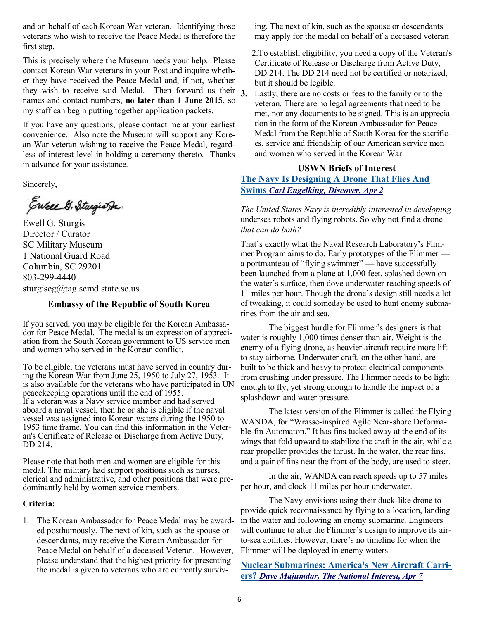and on behalf of each Korean War veteran. Identifying those veterans who wish to receive the Peace Medal is therefore the first step.

This is precisely where the Museum needs your help. Please contact Korean War veterans in your Post and inquire whether they have received the Peace Medal and, if not, whether they wish to receive said Medal. Then forward us their  $3$ . names and contact numbers, **no later than 1 June 2015**, so my staff can begin putting together application packets.

If you have any questions, please contact me at your earliest convenience. Also note the Museum will support any Korean War veteran wishing to receive the Peace Medal, regardless of interest level in holding a ceremony thereto. Thanks in advance for your assistance.

Sincerely,

Entere & Sturgio De.

Ewell G. Sturgis Director / Curator SC Military Museum 1 National Guard Road Columbia, SC 29201 803-299-4440 sturgiseg@tag.scmd.state.sc.us

#### **Embassy of the Republic of South Korea**

If you served, you may be eligible for the Korean Ambassador for Peace Medal. The medal is an expression of appreciation from the South Korean government to US service men and women who served in the Korean conflict.

To be eligible, the veterans must have served in country during the Korean War from June 25, 1950 to July 27, 1953. It is also available for the veterans who have participated in UN peacekeeping operations until the end of 1955. If a veteran was a Navy service member and had served aboard a naval vessel, then he or she is eligible if the naval vessel was assigned into Korean waters during the 1950 to 1953 time frame. You can find this information in the Veteran's Certificate of Release or Discharge from Active Duty, DD 214.

Please note that both men and women are eligible for this medal. The military had support positions such as nurses, clerical and administrative, and other positions that were predominantly held by women service members.

#### **Criteria:**

1. The Korean Ambassador for Peace Medal may be awarded posthumously. The next of kin, such as the spouse or descendants, may receive the Korean Ambassador for Peace Medal on behalf of a deceased Veteran. However, please understand that the highest priority for presenting the medal is given to veterans who are currently surviv-

ing. The next of kin, such as the spouse or descendants may apply for the medal on behalf of a deceased veteran

2.To establish eligibility, you need a copy of the Veteran's Certificate of Release or Discharge from Active Duty, DD 214. The DD 214 need not be certified or notarized, but it should be legible.

**3.** Lastly, there are no costs or fees to the family or to the veteran. There are no legal agreements that need to be met, nor any documents to be signed. This is an appreciation in the form of the Korean Ambassador for Peace Medal from the Republic of South Korea for the sacrifices, service and friendship of our American service men and women who served in the Korean War.

#### **USWN Briefs of Interest The Navy Is Designing A Drone That Flies And Swims** *Carl Engelking, Discover, Apr 2*

*The United States Navy is incredibly interested in developing*  undersea robots and flying robots. So why not find a drone *that can do both?*

That's exactly what the Naval Research Laboratory's Flimmer Program aims to do. Early prototypes of the Flimmer a portmanteau of "flying swimmer" — have successfully been launched from a plane at 1,000 feet, splashed down on the water's surface, then dove underwater reaching speeds of 11 miles per hour. Though the drone's design still needs a lot of tweaking, it could someday be used to hunt enemy submarines from the air and sea.

The biggest hurdle for Flimmer's designers is that water is roughly 1,000 times denser than air. Weight is the enemy of a flying drone, as heavier aircraft require more lift to stay airborne. Underwater craft, on the other hand, are built to be thick and heavy to protect electrical components from crushing under pressure. The Flimmer needs to be light enough to fly, yet strong enough to handle the impact of a splashdown and water pressure.

The latest version of the Flimmer is called the Flying WANDA, for "Wrasse-inspired Agile Near-shore Deformable-fin Automaton." It has fins tucked away at the end of its wings that fold upward to stabilize the craft in the air, while a rear propeller provides the thrust. In the water, the rear fins, and a pair of fins near the front of the body, are used to steer.

In the air, WANDA can reach speeds up to 57 miles per hour, and clock 11 miles per hour underwater.

The Navy envisions using their duck-like drone to provide quick reconnaissance by flying to a location, landing in the water and following an enemy submarine. Engineers will continue to alter the Flimmer's design to improve its airto-sea abilities. However, there's no timeline for when the Flimmer will be deployed in enemy waters.

#### **Nuclear Submarines: America's New Aircraft Carriers?** *Dave Majumdar, The National Interest, Apr 7*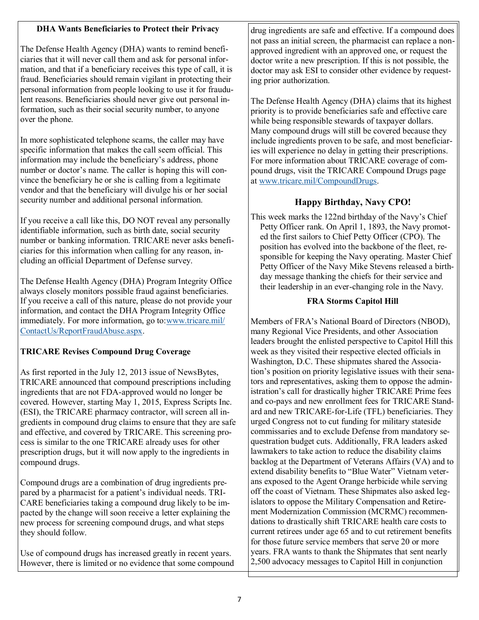## **DHA Wants Beneficiaries to Protect their Privacy**

The Defense Health Agency (DHA) wants to remind beneficiaries that it will never call them and ask for personal information, and that if a beneficiary receives this type of call, it is fraud. Beneficiaries should remain vigilant in protecting their personal information from people looking to use it for fraudulent reasons. Beneficiaries should never give out personal information, such as their social security number, to anyone over the phone.

In more sophisticated telephone scams, the caller may have specific information that makes the call seem official. This information may include the beneficiary's address, phone number or doctor's name. The caller is hoping this will convince the beneficiary he or she is calling from a legitimate vendor and that the beneficiary will divulge his or her social security number and additional personal information.

If you receive a call like this, DO NOT reveal any personally identifiable information, such as birth date, social security number or banking information. TRICARE never asks beneficiaries for this information when calling for any reason, including an official Department of Defense survey.

The Defense Health Agency (DHA) Program Integrity Office always closely monitors possible fraud against beneficiaries. If you receive a call of this nature, please do not provide your information, and contact the DHA Program Integrity Office immediately. For more information, go to:[www.tricare.mil/](http://cqrcengage.com/fra/app/thru?ep=AAAAC2Flc0NpcGhlcjAxGH4POz7KoitNILQIdM8KCUVXCE4wH4h7ixAqS0jns8EiGrw7A5BclRQBRBpM6dayOBZVI5l-8SRcHSU2sQYy_0ZR7svcT_1sMvSruyRtfnTgfX9aLaHGhD1SIrII7K06fi8PVMtNOSgQ7au0TZ4WYXoVDZKNwPMIrgf5jOCGZHcjpGRa9xEK5w6xhK3sFnfe&lp=0) [ContactUs/ReportFraudAbuse.aspx.](http://cqrcengage.com/fra/app/thru?ep=AAAAC2Flc0NpcGhlcjAxGH4POz7KoitNILQIdM8KCUVXCE4wH4h7ixAqS0jns8EiGrw7A5BclRQBRBpM6dayOBZVI5l-8SRcHSU2sQYy_0ZR7svcT_1sMvSruyRtfnTgfX9aLaHGhD1SIrII7K06fi8PVMtNOSgQ7au0TZ4WYXoVDZKNwPMIrgf5jOCGZHcjpGRa9xEK5w6xhK3sFnfe&lp=0)

# **TRICARE Revises Compound Drug Coverage**

As first reported in the July 12, 2013 issue of NewsBytes, TRICARE announced that compound prescriptions including ingredients that are not FDA-approved would no longer be covered. However, starting May 1, 2015, Express Scripts Inc. (ESI), the TRICARE pharmacy contractor, will screen all ingredients in compound drug claims to ensure that they are safe and effective, and covered by TRICARE. This screening process is similar to the one TRICARE already uses for other prescription drugs, but it will now apply to the ingredients in compound drugs.

Compound drugs are a combination of drug ingredients prepared by a pharmacist for a patient's individual needs. TRI-CARE beneficiaries taking a compound drug likely to be impacted by the change will soon receive a letter explaining the new process for screening compound drugs, and what steps they should follow.

Use of compound drugs has increased greatly in recent years. However, there is limited or no evidence that some compound

drug ingredients are safe and effective. If a compound does not pass an initial screen, the pharmacist can replace a nonapproved ingredient with an approved one, or request the doctor write a new prescription. If this is not possible, the doctor may ask ESI to consider other evidence by requesting prior authorization.

The Defense Health Agency (DHA) claims that its highest priority is to provide beneficiaries safe and effective care while being responsible stewards of taxpayer dollars. Many compound drugs will still be covered because they include ingredients proven to be safe, and most beneficiaries will experience no delay in getting their prescriptions. For more information about TRICARE coverage of compound drugs, visit the TRICARE Compound Drugs page at [www.tricare.mil/CompoundDrugs.](http://cqrcengage.com/fra/app/thru?ep=AAAAC2Flc0NpcGhlcjAxYD0rLfcBpxL2iSXrAFQ-34G1i1BMEEB7VMvSWG6On3I5NaoNal1DkTiBRjADOI9fnlRmm7RLQPiT0oTvk5bk72qPF-eV7F_6kpF-tnx26_zPqVn8F2KQF62UbZhyDWXcEppGwOWZD4XlcFr0jU_qig&lp=0)

# **Happy Birthday, Navy CPO!**

This week marks the 122nd birthday of the Navy's Chief Petty Officer rank. On April 1, 1893, the Navy promoted the first sailors to Chief Petty Officer (CPO). The position has evolved into the backbone of the fleet, responsible for keeping the Navy operating. Master Chief Petty Officer of the Navy Mike Stevens released a birthday message thanking the chiefs for their service and their leadership in an ever-changing role in the Navy.

#### **FRA Storms Capitol Hill**

Members of FRA's National Board of Directors (NBOD), many Regional Vice Presidents, and other Association leaders brought the enlisted perspective to Capitol Hill this week as they visited their respective elected officials in Washington, D.C. These shipmates shared the Association's position on priority legislative issues with their senators and representatives, asking them to oppose the administration's call for drastically higher TRICARE Prime fees and co-pays and new enrollment fees for TRICARE Standard and new TRICARE-for-Life (TFL) beneficiaries. They urged Congress not to cut funding for military stateside commissaries and to exclude Defense from mandatory sequestration budget cuts. Additionally, FRA leaders asked lawmakers to take action to reduce the disability claims backlog at the Department of Veterans Affairs (VA) and to extend disability benefits to "Blue Water" Vietnam veterans exposed to the Agent Orange herbicide while serving off the coast of Vietnam. These Shipmates also asked legislators to oppose the Military Compensation and Retirement Modernization Commission (MCRMC) recommendations to drastically shift TRICARE health care costs to current retirees under age 65 and to cut retirement benefits for those future service members that serve 20 or more years. FRA wants to thank the Shipmates that sent nearly 2,500 advocacy messages to Capitol Hill in conjunction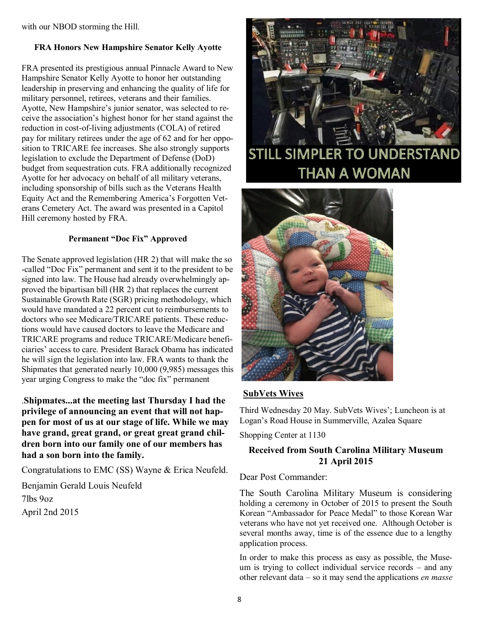with our NBOD storming the Hill.

#### **FRA Honors New Hampshire Senator Kelly Ayotte**

FRA presented its prestigious annual Pinnacle Award to New Hampshire Senator Kelly Ayotte to honor her outstanding leadership in preserving and enhancing the quality of life for military personnel, retirees, veterans and their families. Ayotte, New Hampshire's junior senator, was selected to receive the association's highest honor for her stand against the reduction in cost-of-living adjustments (COLA) of retired pay for military retirees under the age of 62 and for her opposition to TRICARE fee increases. She also strongly supports legislation to exclude the Department of Defense (DoD) budget from sequestration cuts. FRA additionally recognized Ayotte for her advocacy on behalf of all military veterans, including sponsorship of bills such as the Veterans Health Equity Act and the Remembering America's Forgotten Veterans Cemetery Act. The award was presented in a Capitol Hill ceremony hosted by FRA.

#### **Permanent "Doc Fix" Approved**

The Senate approved legislation (HR 2) that will make the so -called "Doc Fix" permanent and sent it to the president to be signed into law. The House had already overwhelmingly approved the bipartisan bill (HR 2) that replaces the current Sustainable Growth Rate (SGR) pricing methodology, which would have mandated a 22 percent cut to reimbursements to doctors who see Medicare/TRICARE patients. These reductions would have caused doctors to leave the Medicare and TRICARE programs and reduce TRICARE/Medicare beneficiaries' access to care. President Barack Obama has indicated he will sign the legislation into law. FRA wants to thank the Shipmates that generated nearly 10,000 (9,985) messages this year urging Congress to make the "doc fix" permanent

.**Shipmates...at the meeting last Thursday I had the privilege of announcing an event that will not happen for most of us at our stage of life. While we may have grand, great grand, or great great grand children born into our family one of our members has had a son born into the family.**

Congratulations to EMC (SS) Wayne & Erica Neufeld.

Benjamin Gerald Louis Neufeld 7lbs 9oz April 2nd 2015



**THAN A WOMAN** 



# **SubVets Wives**

Third Wednesday 20 May. SubVets Wives'; Luncheon is at Logan's Road House in Summerville, Azalea Square

Shopping Center at 1130

# **Received from South Carolina Military Museum 21 April 2015**

#### Dear Post Commander:

The South Carolina Military Museum is considering holding a ceremony in October of 2015 to present the South Korean "Ambassador for Peace Medal" to those Korean War veterans who have not yet received one. Although October is several months away, time is of the essence due to a lengthy application process.

In order to make this process as easy as possible, the Museum is trying to collect individual service records – and any other relevant data – so it may send the applications *en masse*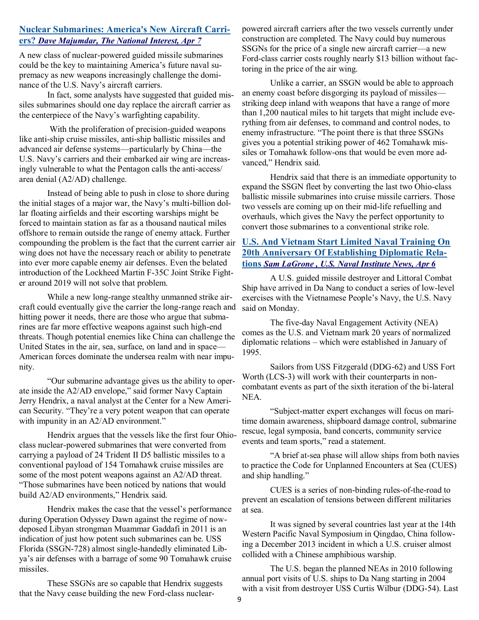#### **Nuclear Submarines: America's New Aircraft Carriers?** *Dave Majumdar, The National Interest, Apr 7*

A new class of nuclear-powered guided missile submarines could be the key to maintaining America's future naval supremacy as new weapons increasingly challenge the dominance of the U.S. Navy's aircraft carriers.

In fact, some analysts have suggested that guided missiles submarines should one day replace the aircraft carrier as the centerpiece of the Navy's warfighting capability.

With the proliferation of precision-guided weapons like anti-ship cruise missiles, anti-ship ballistic missiles and advanced air defense systems—particularly by China—the U.S. Navy's carriers and their embarked air wing are increasingly vulnerable to what the Pentagon calls the anti-access/ area denial (A2/AD) challenge.

Instead of being able to push in close to shore during the initial stages of a major war, the Navy's multi-billion dollar floating airfields and their escorting warships might be forced to maintain station as far as a thousand nautical miles offshore to remain outside the range of enemy attack. Further compounding the problem is the fact that the current carrier air wing does not have the necessary reach or ability to penetrate into ever more capable enemy air defenses. Even the belated introduction of the Lockheed Martin F-35C Joint Strike Fighter around 2019 will not solve that problem.

While a new long-range stealthy unmanned strike aircraft could eventually give the carrier the long-range reach and hitting power it needs, there are those who argue that submarines are far more effective weapons against such high-end threats. Though potential enemies like China can challenge the United States in the air, sea, surface, on land and in space— American forces dominate the undersea realm with near impunity.

―Our submarine advantage gives us the ability to operate inside the A2/AD envelope," said former Navy Captain Jerry Hendrix, a naval analyst at the Center for a New American Security. "They're a very potent weapon that can operate with impunity in an A2/AD environment."

Hendrix argues that the vessels like the first four Ohioclass nuclear-powered submarines that were converted from carrying a payload of 24 Trident II D5 ballistic missiles to a conventional payload of 154 Tomahawk cruise missiles are some of the most potent weapons against an A2/AD threat. ―Those submarines have been noticed by nations that would build A2/AD environments," Hendrix said.

Hendrix makes the case that the vessel's performance during Operation Odyssey Dawn against the regime of nowdeposed Libyan strongman Muammar Gaddafi in 2011 is an indication of just how potent such submarines can be. USS Florida (SSGN-728) almost single-handedly eliminated Libya's air defenses with a barrage of some 90 Tomahawk cruise missiles.

These SSGNs are so capable that Hendrix suggests that the Navy cease building the new Ford-class nuclear-

powered aircraft carriers after the two vessels currently under construction are completed. The Navy could buy numerous SSGNs for the price of a single new aircraft carrier—a new Ford-class carrier costs roughly nearly \$13 billion without factoring in the price of the air wing.

Unlike a carrier, an SSGN would be able to approach an enemy coast before disgorging its payload of missiles striking deep inland with weapons that have a range of more than 1,200 nautical miles to hit targets that might include everything from air defenses, to command and control nodes, to enemy infrastructure. "The point there is that three SSGNs gives you a potential striking power of 462 Tomahawk missiles or Tomahawk follow-ons that would be even more advanced," Hendrix said.

Hendrix said that there is an immediate opportunity to expand the SSGN fleet by converting the last two Ohio-class ballistic missile submarines into cruise missile carriers. Those two vessels are coming up on their mid-life refuelling and overhauls, which gives the Navy the perfect opportunity to convert those submarines to a conventional strike role.

## **U.S. And Vietnam Start Limited Naval Training On 20th Anniversary Of Establishing Diplomatic Relations** *Sam LaGrone , U.S. Naval Institute News, Apr 6*

A U.S. guided missile destroyer and Littoral Combat Ship have arrived in Da Nang to conduct a series of low-level exercises with the Vietnamese People's Navy, the U.S. Navy said on Monday.

The five-day Naval Engagement Activity (NEA) comes as the U.S. and Vietnam mark 20 years of normalized diplomatic relations – which were established in January of 1995.

Sailors from USS Fitzgerald (DDG-62) and USS Fort Worth (LCS-3) will work with their counterparts in noncombatant events as part of the sixth iteration of the bi-lateral NEA.

―Subject-matter expert exchanges will focus on maritime domain awareness, shipboard damage control, submarine rescue, legal symposia, band concerts, community service events and team sports," read a statement.

―A brief at-sea phase will allow ships from both navies to practice the Code for Unplanned Encounters at Sea (CUES) and ship handling."

CUES is a series of non-binding rules-of-the-road to prevent an escalation of tensions between different militaries at sea.

It was signed by several countries last year at the 14th Western Pacific Naval Symposium in Qingdao, China following a December 2013 incident in which a U.S. cruiser almost collided with a Chinese amphibious warship.

The U.S. began the planned NEAs in 2010 following annual port visits of U.S. ships to Da Nang starting in 2004 with a visit from destroyer USS Curtis Wilbur (DDG-54). Last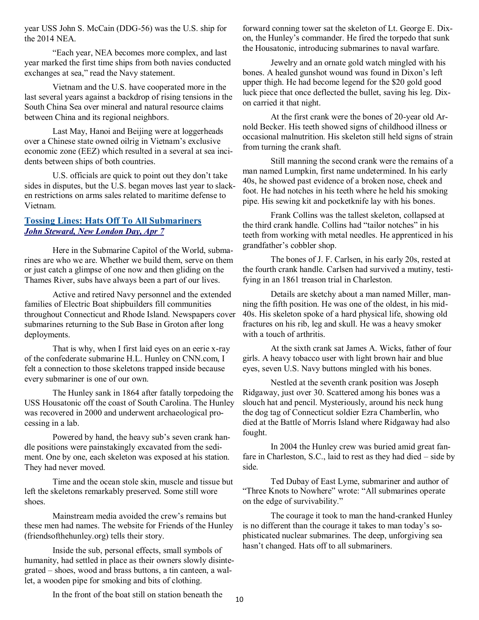year USS John S. McCain (DDG-56) was the U.S. ship for the 2014 NEA.

―Each year, NEA becomes more complex, and last year marked the first time ships from both navies conducted exchanges at sea," read the Navy statement.

Vietnam and the U.S. have cooperated more in the last several years against a backdrop of rising tensions in the South China Sea over mineral and natural resource claims between China and its regional neighbors.

Last May, Hanoi and Beijing were at loggerheads over a Chinese state owned oilrig in Vietnam's exclusive economic zone (EEZ) which resulted in a several at sea incidents between ships of both countries.

U.S. officials are quick to point out they don't take sides in disputes, but the U.S. began moves last year to slacken restrictions on arms sales related to maritime defense to Vietnam.

#### **Tossing Lines: Hats Off To All Submariners** *John Steward, New London Day, Apr 7*

Here in the Submarine Capitol of the World, submarines are who we are. Whether we build them, serve on them or just catch a glimpse of one now and then gliding on the Thames River, subs have always been a part of our lives.

Active and retired Navy personnel and the extended families of Electric Boat shipbuilders fill communities throughout Connecticut and Rhode Island. Newspapers cover submarines returning to the Sub Base in Groton after long deployments.

That is why, when I first laid eyes on an eerie x-ray of the confederate submarine H.L. Hunley on CNN.com, I felt a connection to those skeletons trapped inside because every submariner is one of our own.

The Hunley sank in 1864 after fatally torpedoing the USS Housatonic off the coast of South Carolina. The Hunley was recovered in 2000 and underwent archaeological processing in a lab.

Powered by hand, the heavy sub's seven crank handle positions were painstakingly excavated from the sediment. One by one, each skeleton was exposed at his station. They had never moved.

Time and the ocean stole skin, muscle and tissue but left the skeletons remarkably preserved. Some still wore shoes.

Mainstream media avoided the crew's remains but these men had names. The website for Friends of the Hunley (friendsofthehunley.org) tells their story.

Inside the sub, personal effects, small symbols of humanity, had settled in place as their owners slowly disintegrated – shoes, wood and brass buttons, a tin canteen, a wallet, a wooden pipe for smoking and bits of clothing.

forward conning tower sat the skeleton of Lt. George E. Dixon, the Hunley's commander. He fired the torpedo that sunk the Housatonic, introducing submarines to naval warfare.

Jewelry and an ornate gold watch mingled with his bones. A healed gunshot wound was found in Dixon's left upper thigh. He had become legend for the \$20 gold good luck piece that once deflected the bullet, saving his leg. Dixon carried it that night.

At the first crank were the bones of 20-year old Arnold Becker. His teeth showed signs of childhood illness or occasional malnutrition. His skeleton still held signs of strain from turning the crank shaft.

Still manning the second crank were the remains of a man named Lumpkin, first name undetermined. In his early 40s, he showed past evidence of a broken nose, cheek and foot. He had notches in his teeth where he held his smoking pipe. His sewing kit and pocketknife lay with his bones.

Frank Collins was the tallest skeleton, collapsed at the third crank handle. Collins had "tailor notches" in his teeth from working with metal needles. He apprenticed in his grandfather's cobbler shop.

The bones of J. F. Carlsen, in his early 20s, rested at the fourth crank handle. Carlsen had survived a mutiny, testifying in an 1861 treason trial in Charleston.

Details are sketchy about a man named Miller, manning the fifth position. He was one of the oldest, in his mid-40s. His skeleton spoke of a hard physical life, showing old fractures on his rib, leg and skull. He was a heavy smoker with a touch of arthritis.

At the sixth crank sat James A. Wicks, father of four girls. A heavy tobacco user with light brown hair and blue eyes, seven U.S. Navy buttons mingled with his bones.

Nestled at the seventh crank position was Joseph Ridgaway, just over 30. Scattered among his bones was a slouch hat and pencil. Mysteriously, around his neck hung the dog tag of Connecticut soldier Ezra Chamberlin, who died at the Battle of Morris Island where Ridgaway had also fought.

In 2004 the Hunley crew was buried amid great fanfare in Charleston, S.C., laid to rest as they had died – side by side.

Ted Dubay of East Lyme, submariner and author of "Three Knots to Nowhere" wrote: "All submarines operate on the edge of survivability."

The courage it took to man the hand-cranked Hunley is no different than the courage it takes to man today's sophisticated nuclear submarines. The deep, unforgiving sea hasn't changed. Hats off to all submariners.

In the front of the boat still on station beneath the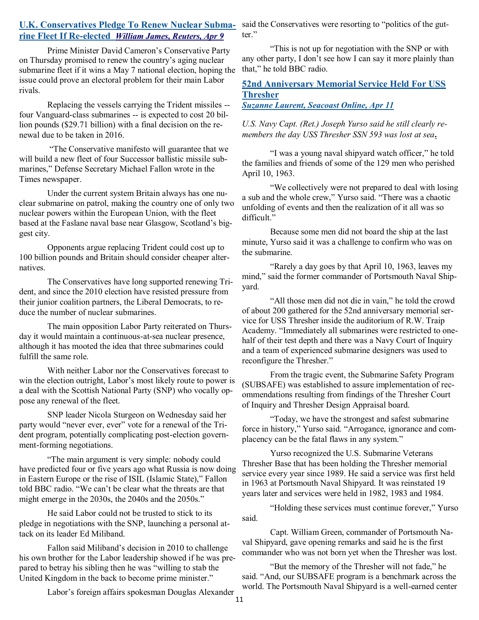## U.K. Conservatives Pledge To Renew Nuclear Subma- said the Conservatives were resorting to "politics of the gut**rine Fleet If Re-elected** *William James, Reuters, Apr 9*

Prime Minister David Cameron's Conservative Party on Thursday promised to renew the country's aging nuclear submarine fleet if it wins a May 7 national election, hoping the issue could prove an electoral problem for their main Labor rivals.

Replacing the vessels carrying the Trident missiles - four Vanguard-class submarines -- is expected to cost 20 billion pounds (\$29.71 billion) with a final decision on the renewal due to be taken in 2016.

―The Conservative manifesto will guarantee that we will build a new fleet of four Successor ballistic missile submarines," Defense Secretary Michael Fallon wrote in the Times newspaper.

Under the current system Britain always has one nuclear submarine on patrol, making the country one of only two nuclear powers within the European Union, with the fleet based at the Faslane naval base near Glasgow, Scotland's biggest city.

Opponents argue replacing Trident could cost up to 100 billion pounds and Britain should consider cheaper alternatives.

The Conservatives have long supported renewing Trident, and since the 2010 election have resisted pressure from their junior coalition partners, the Liberal Democrats, to reduce the number of nuclear submarines.

The main opposition Labor Party reiterated on Thursday it would maintain a continuous-at-sea nuclear presence, although it has mooted the idea that three submarines could fulfill the same role.

With neither Labor nor the Conservatives forecast to win the election outright, Labor's most likely route to power is a deal with the Scottish National Party (SNP) who vocally oppose any renewal of the fleet.

SNP leader Nicola Sturgeon on Wednesday said her party would "never ever, ever" vote for a renewal of the Trident program, potentially complicating post-election government-forming negotiations.

―The main argument is very simple: nobody could have predicted four or five years ago what Russia is now doing in Eastern Europe or the rise of ISIL (Islamic State)," Fallon told BBC radio. "We can't be clear what the threats are that might emerge in the 2030s, the 2040s and the 2050s."

He said Labor could not be trusted to stick to its pledge in negotiations with the SNP, launching a personal attack on its leader Ed Miliband.

Fallon said Miliband's decision in 2010 to challenge his own brother for the Labor leadership showed if he was prepared to betray his sibling then he was "willing to stab the United Kingdom in the back to become prime minister."

Labor's foreign affairs spokesman Douglas Alexander

ter."

―This is not up for negotiation with the SNP or with any other party, I don't see how I can say it more plainly than that," he told BBC radio.

# **[52nd Anniversary Memorial Service Held For USS](file:///C:/Users/george/Desktop/May%202015%20USWN,%20FRA,%20Etc..docx#Underwater#Underwater)  [Thresher](file:///C:/Users/george/Desktop/May%202015%20USWN,%20FRA,%20Etc..docx#Underwater#Underwater)**

# *[Suzanne Laurent, Seacoast Online, Apr 11](file:///C:/Users/george/Desktop/May%202015%20USWN,%20FRA,%20Etc..docx#Underwater#Underwater)*

*U.S. Navy Capt. (Ret.) Joseph Yurso said he still clearly remembers the day USS Thresher SSN 593 was lost at sea***.**

"I was a young naval shipyard watch officer," he told the families and friends of some of the 129 men who perished April 10, 1963.

"We collectively were not prepared to deal with losing" a sub and the whole crew," Yurso said. "There was a chaotic unfolding of events and then the realization of it all was so difficult."

Because some men did not board the ship at the last minute, Yurso said it was a challenge to confirm who was on the submarine.

―Rarely a day goes by that April 10, 1963, leaves my mind," said the former commander of Portsmouth Naval Shipyard.

"All those men did not die in vain," he told the crowd of about 200 gathered for the 52nd anniversary memorial service for USS Thresher inside the auditorium of R.W. Traip Academy. "Immediately all submarines were restricted to onehalf of their test depth and there was a Navy Court of Inquiry and a team of experienced submarine designers was used to reconfigure the Thresher."

From the tragic event, the Submarine Safety Program (SUBSAFE) was established to assure implementation of recommendations resulting from findings of the Thresher Court of Inquiry and Thresher Design Appraisal board.

―Today, we have the strongest and safest submarine force in history," Yurso said. "Arrogance, ignorance and complacency can be the fatal flaws in any system."

Yurso recognized the U.S. Submarine Veterans Thresher Base that has been holding the Thresher memorial service every year since 1989. He said a service was first held in 1963 at Portsmouth Naval Shipyard. It was reinstated 19 years later and services were held in 1982, 1983 and 1984.

"Holding these services must continue forever," Yurso said.

Capt. William Green, commander of Portsmouth Naval Shipyard, gave opening remarks and said he is the first commander who was not born yet when the Thresher was lost.

"But the memory of the Thresher will not fade," he said. "And, our SUBSAFE program is a benchmark across the world. The Portsmouth Naval Shipyard is a well-earned center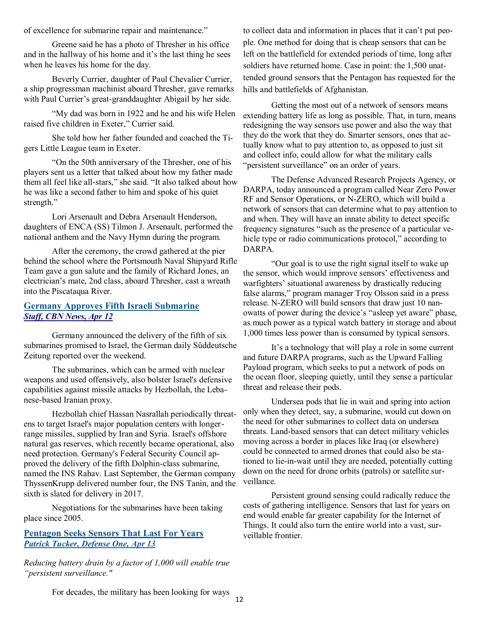of excellence for submarine repair and maintenance."

Greene said he has a photo of Thresher in his office and in the hallway of his home and it's the last thing he sees when he leaves his home for the day.

Beverly Currier, daughter of Paul Chevalier Currier, a ship progressman machinist aboard Thresher, gave remarks with Paul Currier's great-granddaughter Abigail by her side.

―My dad was born in 1922 and he and his wife Helen raised five children in Exeter," Currier said.

She told how her father founded and coached the Tigers Little League team in Exeter.

―On the 50th anniversary of the Thresher, one of his players sent us a letter that talked about how my father made them all feel like all-stars," she said. "It also talked about how he was like a second father to him and spoke of his quiet strength."

Lori Arsenault and Debra Arsenault Henderson, daughters of ENCA (SS) Tilmon J. Arsenault, performed the national anthem and the Navy Hymn during the program.

After the ceremony, the crowd gathered at the pier behind the school where the Portsmouth Naval Shipyard Rifle Team gave a gun salute and the family of Richard Jones, an electrician's mate, 2nd class, aboard Thresher, cast a wreath into the Piscataqua River.

# **Germany Approves Fifth Israeli Submarine** *Staff, CBN News, Apr 12*

Germany announced the delivery of the fifth of six submarines promised to Israel, the German daily Süddeutsche Zeitung reported over the weekend.

The submarines, which can be armed with nuclear weapons and used offensively, also bolster Israel's defensive capabilities against missile attacks by Hezbollah, the Lebanese-based Iranian proxy.

Hezbollah chief Hassan Nasrallah periodically threatens to target Israel's major population centers with longerrange missiles, supplied by Iran and Syria. Israel's offshore natural gas reserves, which recently became operational, also need protection. Germany's Federal Security Council approved the delivery of the fifth Dolphin-class submarine, named the INS Rahav. Last September, the German company ThyssenKrupp delivered number four, the INS Tanin, and the sixth is slated for delivery in 2017.

Negotiations for the submarines have been taking place since 2005.

#### **[Pentagon Seeks Sensors That Last For Years](file:///C:/Users/george/Desktop/May%202015%20USWN,%20FRA,%20Etc..docx#Underwater#Underwater)** *[Patrick Tucker, Defense One, Apr 13](file:///C:/Users/george/Desktop/May%202015%20USWN,%20FRA,%20Etc..docx#Underwater#Underwater)*

*Reducing battery drain by a factor of 1,000 will enable true "persistent surveillance."*

to collect data and information in places that it can't put people. One method for doing that is cheap sensors that can be left on the battlefield for extended periods of time, long after soldiers have returned home. Case in point: the 1,500 unattended ground sensors that the Pentagon has requested for the hills and battlefields of Afghanistan.

Getting the most out of a network of sensors means extending battery life as long as possible. That, in turn, means redesigning the way sensors use power and also the way that they do the work that they do. Smarter sensors, ones that actually know what to pay attention to, as opposed to just sit and collect info, could allow for what the military calls "persistent surveillance" on an order of years.

The Defense Advanced Research Projects Agency, or DARPA, today announced a program called Near Zero Power RF and Sensor Operations, or N-ZERO, which will build a network of sensors that can determine what to pay attention to and when. They will have an innate ability to detect specific frequency signatures "such as the presence of a particular vehicle type or radio communications protocol," according to DARPA.

―Our goal is to use the right signal itself to wake up the sensor, which would improve sensors' effectiveness and warfighters' situational awareness by drastically reducing false alarms," program manager Troy Olsson said in a press release. N-ZERO will build sensors that draw just 10 nanowatts of power during the device's "asleep yet aware" phase, as much power as a typical watch battery in storage and about 1,000 times less power than is consumed by typical sensors.

It's a technology that will play a role in some current and future DARPA programs, such as the Upward Falling Payload program, which seeks to put a network of pods on the ocean floor, sleeping quietly, until they sense a particular threat and release their pods.

Undersea pods that lie in wait and spring into action only when they detect, say, a submarine, would cut down on the need for other submarines to collect data on undersea threats. Land-based sensors that can detect military vehicles moving across a border in places like Iraq (or elsewhere) could be connected to armed drones that could also be stationed to lie-in-wait until they are needed, potentially cutting down on the need for drone orbits (patrols) or satellite surveillance.

Persistent ground sensing could radically reduce the costs of gathering intelligence. Sensors that last for years on end would enable far greater capability for the Internet of Things. It could also turn the entire world into a vast, surveillable frontier.

For decades, the military has been looking for ways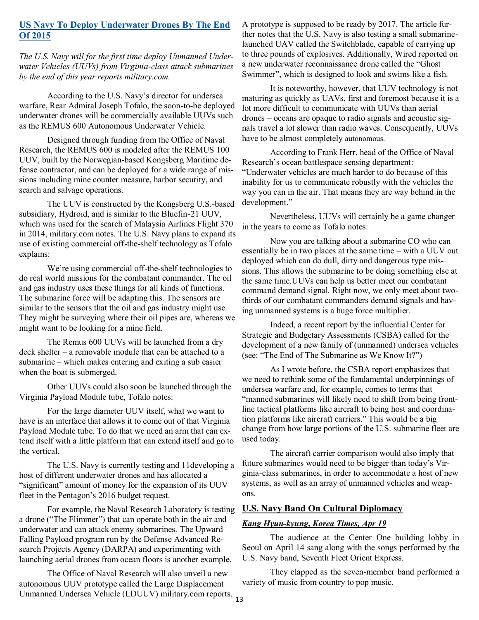## **[US Navy To Deploy Underwater Drones By The End](file:///C:/Users/george/Desktop/May%202015%20USWN,%20FRA,%20Etc..docx#Underwater#Underwater)  [Of 2015](file:///C:/Users/george/Desktop/May%202015%20USWN,%20FRA,%20Etc..docx#Underwater#Underwater)**

*The U.S. Navy will for the first time deploy Unmanned Underwater Vehicles (UUVs) from Virginia-class attack submarines by the end of this year reports military.com.*

According to the U.S. Navy's director for undersea warfare, Rear Admiral Joseph Tofalo, the soon-to-be deployed underwater drones will be commercially available UUVs such as the REMUS 600 Autonomous Underwater Vehicle.

Designed through funding from the Office of Naval Research, the REMUS 600 is modeled after the REMUS 100 UUV, built by the Norwegian-based Kongsberg Maritime defense contractor, and can be deployed for a wide range of missions including mine counter measure, harbor security, and search and salvage operations.

The UUV is constructed by the Kongsberg U.S.-based subsidiary, Hydroid, and is similar to the Bluefin-21 UUV, which was used for the search of Malaysia Airlines Flight 370 in 2014, military.com notes. The U.S. Navy plans to expand its use of existing commercial off-the-shelf technology as Tofalo explains:

We're using commercial off-the-shelf technologies to do real world missions for the combatant commander. The oil and gas industry uses these things for all kinds of functions. The submarine force will be adapting this. The sensors are similar to the sensors that the oil and gas industry might use. They might be surveying where their oil pipes are, whereas we might want to be looking for a mine field.

The Remus 600 UUVs will be launched from a dry deck shelter – a removable module that can be attached to a submarine – which makes entering and exiting a sub easier when the boat is submerged.

Other UUVs could also soon be launched through the Virginia Payload Module tube, Tofalo notes:

For the large diameter UUV itself, what we want to have is an interface that allows it to come out of that Virginia Payload Module tube. To do that we need an arm that can extend itself with a little platform that can extend itself and go to the vertical.

The U.S. Navy is currently testing and 11developing a host of different underwater drones and has allocated a "significant" amount of money for the expansion of its UUV fleet in the Pentagon's 2016 budget request.

For example, the Naval Research Laboratory is testing a drone ("The Flimmer") that can operate both in the air and underwater and can attack enemy submarines. The Upward Falling Payload program run by the Defense Advanced Research Projects Agency (DARPA) and experimenting with launching aerial drones from ocean floors is another example.

Unmanned Undersea Vehicle (LDUUV) military.com reports.<br>13 The Office of Naval Research will also unveil a new autonomous UUV prototype called the Large Displacement

A prototype is supposed to be ready by 2017. The article further notes that the U.S. Navy is also testing a small submarinelaunched UAV called the Switchblade, capable of carrying up to three pounds of explosives. Additionally, Wired reported on a new underwater reconnaissance drone called the "Ghost" Swimmer", which is designed to look and swims like a fish.

It is noteworthy, however, that UUV technology is not maturing as quickly as UAVs, first and foremost because it is a lot more difficult to communicate with UUVs than aerial drones – oceans are opaque to radio signals and acoustic signals travel a lot slower than radio waves. Consequently, UUVs have to be almost completely autonomous.

According to Frank Herr, head of the Office of Naval Research's ocean battlespace sensing department: ―Underwater vehicles are much harder to do because of this inability for us to communicate robustly with the vehicles the way you can in the air. That means they are way behind in the development."

Nevertheless, UUVs will certainly be a game changer in the years to come as Tofalo notes:

Now you are talking about a submarine CO who can essentially be in two places at the same time – with a UUV out deployed which can do dull, dirty and dangerous type missions. This allows the submarine to be doing something else at the same time.UUVs can help us better meet our combatant command demand signal. Right now, we only meet about twothirds of our combatant commanders demand signals and having unmanned systems is a huge force multiplier.

Indeed, a recent report by the influential Center for Strategic and Budgetary Assessments (CSBA) called for the development of a new family of (unmanned) undersea vehicles (see: "The End of The Submarine as We Know It?")

As I wrote before, the CSBA report emphasizes that we need to rethink some of the fundamental underpinnings of undersea warfare and, for example, comes to terms that "manned submarines will likely need to shift from being frontline tactical platforms like aircraft to being host and coordination platforms like aircraft carriers." This would be a big change from how large portions of the U.S. submarine fleet are used today.

The aircraft carrier comparison would also imply that future submarines would need to be bigger than today's Virginia-class submarines, in order to accommodate a host of new systems, as well as an array of unmanned vehicles and weapons.

#### **[U.S. Navy Band On Cultural Diplomacy](file:///C:/Users/george/Downloads/USWN_20April2015%20(1).doc#Underwater)**

#### *Kang Hyun-[kyung, Korea Times, Apr 19](file:///C:/Users/george/Downloads/USWN_20April2015%20(1).doc#Underwater)*

The audience at the Center One building lobby in Seoul on April 14 sang along with the songs performed by the U.S. Navy band, Seventh Fleet Orient Express.

They clapped as the seven-member band performed a variety of music from country to pop music.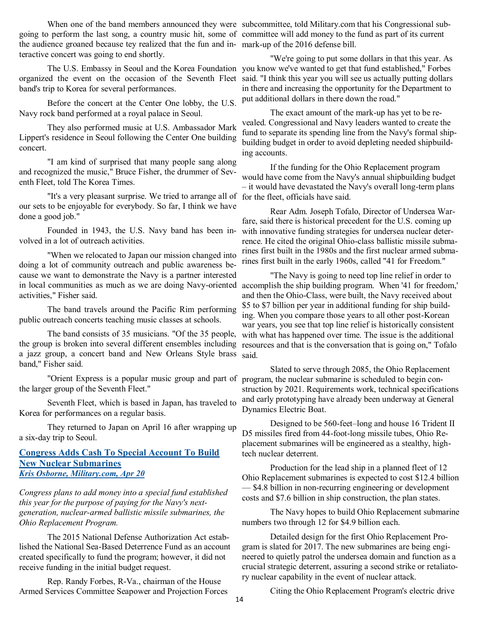going to perform the last song, a country music hit, some of committee will add money to the fund as part of its current the audience groaned because tey realized that the fun and in-mark-up of the 2016 defense bill. teractive concert was going to end shortly.

organized the event on the occasion of the Seventh Fleet said. "I think this year you will see us actually putting dollars band's trip to Korea for several performances.

Before the concert at the Center One lobby, the U.S. Navy rock band performed at a royal palace in Seoul.

They also performed music at U.S. Ambassador Mark Lippert's residence in Seoul following the Center One building concert.

"I am kind of surprised that many people sang along and recognized the music," Bruce Fisher, the drummer of Seventh Fleet, told The Korea Times.

"It's a very pleasant surprise. We tried to arrange all of our sets to be enjoyable for everybody. So far, I think we have done a good job."

Founded in 1943, the U.S. Navy band has been involved in a lot of outreach activities.

"When we relocated to Japan our mission changed into doing a lot of community outreach and public awareness because we want to demonstrate the Navy is a partner interested in local communities as much as we are doing Navy-oriented accomplish the ship building program. When '41 for freedom,' activities," Fisher said.

The band travels around the Pacific Rim performing public outreach concerts teaching music classes at schools.

The band consists of 35 musicians. "Of the 35 people, the group is broken into several different ensembles including resources and that is the conversation that is going on," Tofalo a jazz group, a concert band and New Orleans Style brass said. band," Fisher said.

"Orient Express is a popular music group and part of the larger group of the Seventh Fleet."

Seventh Fleet, which is based in Japan, has traveled to Korea for performances on a regular basis.

They returned to Japan on April 16 after wrapping up a six-day trip to Seoul.

#### **[Congress Adds Cash To Special Account To Build](file:///C:/Users/george/Desktop/May%202015%20USWN,%20FRA,%20Etc..docx#Underwater#Underwater)  [New Nuclear Submarines](file:///C:/Users/george/Desktop/May%202015%20USWN,%20FRA,%20Etc..docx#Underwater#Underwater)** *[Kris Osborne, Military.com, Apr 20](file:///C:/Users/george/Desktop/May%202015%20USWN,%20FRA,%20Etc..docx#Underwater#Underwater)*

*Congress plans to add money into a special fund established this year for the purpose of paying for the Navy's nextgeneration, nuclear-armed ballistic missile submarines, the Ohio Replacement Program.*

The 2015 National Defense Authorization Act established the National Sea-Based Deterrence Fund as an account created specifically to fund the program; however, it did not receive funding in the initial budget request.

Rep. Randy Forbes, R-Va., chairman of the House Armed Services Committee Seapower and Projection Forces

When one of the band members announced they were subcommittee, told Military.com that his Congressional sub-

The U.S. Embassy in Seoul and the Korea Foundation you know we've wanted to get that fund established," Forbes "We're going to put some dollars in that this year. As in there and increasing the opportunity for the Department to put additional dollars in there down the road."

> The exact amount of the mark-up has yet to be revealed. Congressional and Navy leaders wanted to create the fund to separate its spending line from the Navy's formal shipbuilding budget in order to avoid depleting needed shipbuilding accounts.

> If the funding for the Ohio Replacement program would have come from the Navy's annual shipbuilding budget – it would have devastated the Navy's overall long-term plans for the fleet, officials have said.

> Rear Adm. Joseph Tofalo, Director of Undersea Warfare, said there is historical precedent for the U.S. coming up with innovative funding strategies for undersea nuclear deterrence. He cited the original Ohio-class ballistic missile submarines first built in the 1980s and the first nuclear armed submarines first built in the early 1960s, called "41 for Freedom."

> "The Navy is going to need top line relief in order to and then the Ohio-Class, were built, the Navy received about \$5 to \$7 billion per year in additional funding for ship building. When you compare those years to all other post-Korean war years, you see that top line relief is historically consistent with what has happened over time. The issue is the additional

> Slated to serve through 2085, the Ohio Replacement program, the nuclear submarine is scheduled to begin construction by 2021. Requirements work, technical specifications and early prototyping have already been underway at General Dynamics Electric Boat.

Designed to be 560-feet–long and house 16 Trident II D5 missiles fired from 44-foot-long missile tubes, Ohio Replacement submarines will be engineered as a stealthy, hightech nuclear deterrent.

Production for the lead ship in a planned fleet of 12 Ohio Replacement submarines is expected to cost \$12.4 billion — \$4.8 billion in non-recurring engineering or development costs and \$7.6 billion in ship construction, the plan states.

The Navy hopes to build Ohio Replacement submarine numbers two through 12 for \$4.9 billion each.

Detailed design for the first Ohio Replacement Program is slated for 2017. The new submarines are being engineered to quietly patrol the undersea domain and function as a crucial strategic deterrent, assuring a second strike or retaliatory nuclear capability in the event of nuclear attack.

Citing the Ohio Replacement Program's electric drive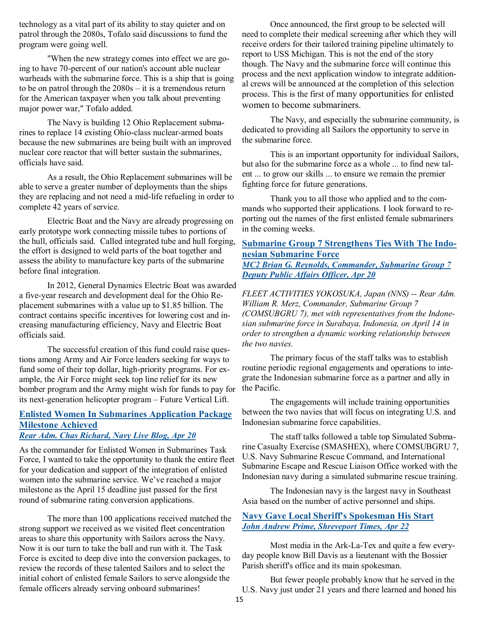technology as a vital part of its ability to stay quieter and on patrol through the 2080s, Tofalo said discussions to fund the program were going well.

"When the new strategy comes into effect we are going to have 70-percent of our nation's account able nuclear warheads with the submarine force. This is a ship that is going to be on patrol through the 2080s – it is a tremendous return for the American taxpayer when you talk about preventing major power war," Tofalo added.

The Navy is building 12 Ohio Replacement submarines to replace 14 existing Ohio-class nuclear-armed boats because the new submarines are being built with an improved nuclear core reactor that will better sustain the submarines, officials have said.

As a result, the Ohio Replacement submarines will be able to serve a greater number of deployments than the ships they are replacing and not need a mid-life refueling in order to complete 42 years of service.

Electric Boat and the Navy are already progressing on early prototype work connecting missile tubes to portions of the hull, officials said. Called integrated tube and hull forging, the effort is designed to weld parts of the boat together and assess the ability to manufacture key parts of the submarine before final integration.

In 2012, General Dynamics Electric Boat was awarded a five-year research and development deal for the Ohio Replacement submarines with a value up to \$1.85 billion. The contract contains specific incentives for lowering cost and increasing manufacturing efficiency, Navy and Electric Boat officials said.

The successful creation of this fund could raise questions among Army and Air Force leaders seeking for ways to fund some of their top dollar, high-priority programs. For example, the Air Force might seek top line relief for its new bomber program and the Army might wish for funds to pay for its next-generation helicopter program – Future Vertical Lift.

# **[Enlisted Women In Submarines Application Package](file:///C:/Users/george/Desktop/May%202015%20USWN,%20FRA,%20Etc..docx#Underwater#Underwater)  [Milestone Achieved](file:///C:/Users/george/Desktop/May%202015%20USWN,%20FRA,%20Etc..docx#Underwater#Underwater)**

# *[Rear Adm. Chas Richard, Navy Live Blog, Apr 20](file:///C:/Users/george/Desktop/May%202015%20USWN,%20FRA,%20Etc..docx#Underwater#Underwater)*

As the commander for Enlisted Women in Submarines Task Force, I wanted to take the opportunity to thank the entire fleet for your dedication and support of the integration of enlisted women into the submarine service. We've reached a major milestone as the April 15 deadline just passed for the first round of submarine rating conversion applications.

The more than 100 applications received matched the strong support we received as we visited fleet concentration areas to share this opportunity with Sailors across the Navy. Now it is our turn to take the ball and run with it. The Task Force is excited to deep dive into the conversion packages, to review the records of these talented Sailors and to select the initial cohort of enlisted female Sailors to serve alongside the female officers already serving onboard submarines!

Once announced, the first group to be selected will need to complete their medical screening after which they will receive orders for their tailored training pipeline ultimately to report to USS Michigan. This is not the end of the story though. The Navy and the submarine force will continue this process and the next application window to integrate additional crews will be announced at the completion of this selection process. This is the first of many opportunities for enlisted women to become submariners.

The Navy, and especially the submarine community, is dedicated to providing all Sailors the opportunity to serve in the submarine force.

This is an important opportunity for individual Sailors, but also for the submarine force as a whole ... to find new talent ... to grow our skills ... to ensure we remain the premier fighting force for future generations.

Thank you to all those who applied and to the commands who supported their applications. I look forward to reporting out the names of the first enlisted female submariners in the coming weeks.

#### **[Submarine Group 7 Strengthens Ties With The Indo](file:///C:/Users/george/Desktop/May%202015%20USWN,%20FRA,%20Etc..docx#Underwater#Underwater)[nesian Submarine Force](file:///C:/Users/george/Desktop/May%202015%20USWN,%20FRA,%20Etc..docx#Underwater#Underwater)**

*[MC2 Brian G. Reynolds, Commander, Submarine Group 7](file:///C:/Users/george/Desktop/May%202015%20USWN,%20FRA,%20Etc..docx#Underwater#Underwater)  [Deputy Public Affairs Officer, Apr 20](file:///C:/Users/george/Desktop/May%202015%20USWN,%20FRA,%20Etc..docx#Underwater#Underwater)*

*FLEET ACTIVITIES YOKOSUKA, Japan (NNS) -- Rear Adm. William R. Merz, Commander, Submarine Group 7 (COMSUBGRU 7), met with representatives from the Indonesian submarine force in Surabaya, Indonesia, on April 14 in order to strengthen a dynamic working relationship between the two navies.*

The primary focus of the staff talks was to establish routine periodic regional engagements and operations to integrate the Indonesian submarine force as a partner and ally in the Pacific.

The engagements will include training opportunities between the two navies that will focus on integrating U.S. and Indonesian submarine force capabilities.

The staff talks followed a table top Simulated Submarine Casualty Exercise (SMASHEX), where COMSUBGRU 7, U.S. Navy Submarine Rescue Command, and International Submarine Escape and Rescue Liaison Office worked with the Indonesian navy during a simulated submarine rescue training.

The Indonesian navy is the largest navy in Southeast Asia based on the number of active personnel and ships.

#### **[Navy Gave Local Sheriff's Spokesman His Start](file:///C:/Users/george/Downloads/USWN_23April2015.doc#Underwater)** *[John Andrew Prime, Shreveport Times, Apr 22](file:///C:/Users/george/Downloads/USWN_23April2015.doc#Underwater)*

Most media in the Ark-La-Tex and quite a few everyday people know Bill Davis as a lieutenant with the Bossier Parish sheriff's office and its main spokesman.

But fewer people probably know that he served in the U.S. Navy just under 21 years and there learned and honed his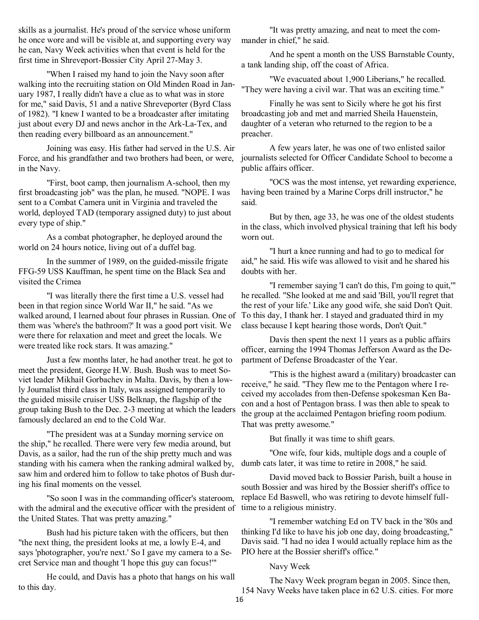skills as a journalist. He's proud of the service whose uniform he once wore and will be visible at, and supporting every way he can, Navy Week activities when that event is held for the first time in Shreveport-Bossier City April 27-May 3.

"When I raised my hand to join the Navy soon after walking into the recruiting station on Old Minden Road in January 1987, I really didn't have a clue as to what was in store for me," said Davis, 51 and a native Shreveporter (Byrd Class of 1982). "I knew I wanted to be a broadcaster after imitating just about every DJ and news anchor in the Ark-La-Tex, and then reading every billboard as an announcement."

Joining was easy. His father had served in the U.S. Air Force, and his grandfather and two brothers had been, or were, in the Navy.

"First, boot camp, then journalism A-school, then my first broadcasting job" was the plan, he mused. "NOPE. I was sent to a Combat Camera unit in Virginia and traveled the world, deployed TAD (temporary assigned duty) to just about every type of ship."

As a combat photographer, he deployed around the world on 24 hours notice, living out of a duffel bag.

In the summer of 1989, on the guided-missile frigate FFG-59 USS Kauffman, he spent time on the Black Sea and visited the Crimea

"I was literally there the first time a U.S. vessel had been in that region since World War II," he said. "As we walked around, I learned about four phrases in Russian. One of them was 'where's the bathroom?' It was a good port visit. We were there for relaxation and meet and greet the locals. We were treated like rock stars. It was amazing."

Just a few months later, he had another treat. he got to meet the president, George H.W. Bush. Bush was to meet Soviet leader Mikhail Gorbachev in Malta. Davis, by then a lowly Journalist third class in Italy, was assigned temporarily to the guided missile cruiser USS Belknap, the flagship of the group taking Bush to the Dec. 2-3 meeting at which the leaders famously declared an end to the Cold War.

"The president was at a Sunday morning service on the ship," he recalled. There were very few media around, but Davis, as a sailor, had the run of the ship pretty much and was standing with his camera when the ranking admiral walked by, saw him and ordered him to follow to take photos of Bush during his final moments on the vessel.

"So soon I was in the commanding officer's stateroom, with the admiral and the executive officer with the president of the United States. That was pretty amazing."

Bush had his picture taken with the officers, but then "the next thing, the president looks at me, a lowly E-4, and says 'photographer, you're next.' So I gave my camera to a Secret Service man and thought 'I hope this guy can focus!'"

He could, and Davis has a photo that hangs on his wall to this day.

"It was pretty amazing, and neat to meet the commander in chief," he said.

And he spent a month on the USS Barnstable County, a tank landing ship, off the coast of Africa.

"We evacuated about 1,900 Liberians," he recalled. "They were having a civil war. That was an exciting time."

Finally he was sent to Sicily where he got his first broadcasting job and met and married Sheila Hauenstein, daughter of a veteran who returned to the region to be a preacher.

A few years later, he was one of two enlisted sailor journalists selected for Officer Candidate School to become a public affairs officer.

"OCS was the most intense, yet rewarding experience, having been trained by a Marine Corps drill instructor," he said.

But by then, age 33, he was one of the oldest students in the class, which involved physical training that left his body worn out.

"I hurt a knee running and had to go to medical for aid," he said. His wife was allowed to visit and he shared his doubts with her.

"I remember saying 'I can't do this, I'm going to quit,'" he recalled. "She looked at me and said 'Bill, you'll regret that the rest of your life.' Like any good wife, she said Don't Quit. To this day, I thank her. I stayed and graduated third in my class because I kept hearing those words, Don't Quit."

Davis then spent the next 11 years as a public affairs officer, earning the 1994 Thomas Jefferson Award as the Department of Defense Broadcaster of the Year.

"This is the highest award a (military) broadcaster can receive," he said. "They flew me to the Pentagon where I received my accolades from then-Defense spokesman Ken Bacon and a host of Pentagon brass. I was then able to speak to the group at the acclaimed Pentagon briefing room podium. That was pretty awesome."

But finally it was time to shift gears.

"One wife, four kids, multiple dogs and a couple of dumb cats later, it was time to retire in 2008," he said.

David moved back to Bossier Parish, built a house in south Bossier and was hired by the Bossier sheriff's office to replace Ed Baswell, who was retiring to devote himself fulltime to a religious ministry.

"I remember watching Ed on TV back in the '80s and thinking I'd like to have his job one day, doing broadcasting," Davis said. "I had no idea I would actually replace him as the PIO here at the Bossier sheriff's office."

Navy Week

The Navy Week program began in 2005. Since then, 154 Navy Weeks have taken place in 62 U.S. cities. For more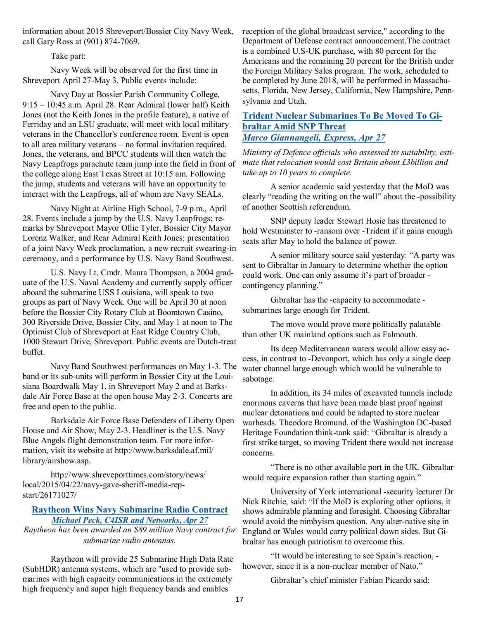information about 2015 Shreveport/Bossier City Navy Week, call Gary Ross at (901) 874-7069.

Take part:

Navy Week will be observed for the first time in Shreveport April 27-May 3. Public events include:

Navy Day at Bossier Parish Community College, 9:15 – 10:45 a.m. April 28. Rear Admiral (lower half) Keith Jones (not the Keith Jones in the profile feature), a native of Ferriday and an LSU graduate, will meet with local military veterans in the Chancellor's conference room. Event is open to all area military veterans – no formal invitation required. Jones, the veterans, and BPCC students will then watch the Navy Leapfrogs parachute team jump into the field in front of the college along East Texas Street at 10:15 am. Following the jump, students and veterans will have an opportunity to interact with the Leapfrogs, all of whom are Navy SEALs.

Navy Night at Airline High School, 7-9 p.m., April 28. Events include a jump by the U.S. Navy Leapfrogs; remarks by Shreveport Mayor Ollie Tyler, Bossier City Mayor Lorenz Walker, and Rear Admiral Keith Jones; presentation of a joint Navy Week proclamation, a new recruit swearing-in ceremony, and a performance by U.S. Navy Band Southwest.

U.S. Navy Lt. Cmdr. Maura Thompson, a 2004 graduate of the U.S. Naval Academy and currently supply officer aboard the submarine USS Louisiana, will speak to two groups as part of Navy Week. One will be April 30 at noon before the Bossier City Rotary Club at Boomtown Casino, 300 Riverside Drive, Bossier City, and May 1 at noon to The Optimist Club of Shreveport at East Ridge Country Club, 1000 Stewart Drive, Shreveport. Public events are Dutch-treat buffet.

Navy Band Southwest performances on May 1-3. The band or its sub-units will perform in Bossier City at the Louisiana Boardwalk May 1, in Shreveport May 2 and at Barksdale Air Force Base at the open house May 2-3. Concerts are free and open to the public.

Barksdale Air Force Base Defenders of Liberty Open House and Air Show, May 2-3. Headliner is the U.S. Navy Blue Angels flight demonstration team. For more information, visit its website at http://www.barksdale.af.mil/ library/airshow.asp.

[http://www.shreveporttimes.com/story/news/](http://www.shreveporttimes.com/story/news/local/2015/04/22/navy-gave-sheriff-media-rep-start/26171027/) [local/2015/04/22/navy](http://www.shreveporttimes.com/story/news/local/2015/04/22/navy-gave-sheriff-media-rep-start/26171027/)-gave-sheriff-media-rep[start/26171027/](http://www.shreveporttimes.com/story/news/local/2015/04/22/navy-gave-sheriff-media-rep-start/26171027/)

#### **[Raytheon Wins Navy Submarine Radio Contract](file:///C:/Users/george/Desktop/May%202015%20USWN,%20FRA,%20Etc..docx#Underwater#Underwater)** *[Michael Peck, C4ISR and Networks, Apr 27](file:///C:/Users/george/Desktop/May%202015%20USWN,%20FRA,%20Etc..docx#Underwater#Underwater)*

*Raytheon has been awarded an \$89 million Navy contract for submarine radio antennas.*

Raytheon will provide 25 Submarine High Data Rate (SubHDR) antenna systems, which are "used to provide submarines with high capacity communications in the extremely high frequency and super high frequency bands and enables

reception of the global broadcast service," according to the Department of Defense contract announcement.The contract is a combined U.S-UK purchase, with 80 percent for the Americans and the remaining 20 percent for the British under the Foreign Military Sales program. The work, scheduled to be completed by June 2018, will be performed in Massachusetts, Florida, New Jersey, California, New Hampshire, Pennsylvania and Utah.

# **[Trident Nuclear Submarines To Be Moved To Gi](file:///C:/Users/george/Desktop/May%202015%20USWN,%20FRA,%20Etc..docx#Underwater#Underwater)[braltar Amid SNP Threat](file:///C:/Users/george/Desktop/May%202015%20USWN,%20FRA,%20Etc..docx#Underwater#Underwater)** *[Marco Giannangeli, Express, Apr 27](file:///C:/Users/george/Desktop/May%202015%20USWN,%20FRA,%20Etc..docx#Underwater#Underwater)*

*Ministry of Defence officials who assessed its suitability, estimate that relocation would cost Britain about £3billion and take up to 10 years to complete.*

A senior academic said yesterday that the MoD was clearly "reading the writing on the wall" about the -possibility of another Scottish referendum.

SNP deputy leader Stewart Hosie has threatened to hold Westminster to -ransom over -Trident if it gains enough seats after May to hold the balance of power.

A senior military source said yesterday: "A party was sent to Gibraltar in January to determine whether the option could work. One can only assume it's part of broader contingency planning."

Gibraltar has the -capacity to accommodate submarines large enough for Trident.

The move would prove more politically palatable than other UK mainland options such as Falmouth.

Its deep Mediterranean waters would allow easy access, in contrast to -Devonport, which has only a single deep water channel large enough which would be vulnerable to sabotage.

In addition, its 34 miles of excavated tunnels include enormous caverns that have been made blast proof against nuclear detonations and could be adapted to store nuclear warheads. Theodore Bromund, of the Washington DC-based Heritage Foundation think-tank said: "Gibraltar is already a first strike target, so moving Trident there would not increase concerns.

―There is no other available port in the UK. Gibraltar would require expansion rather than starting again."

University of York international -security lecturer Dr Nick Ritchie, said: "If the MoD is exploring other options, it shows admirable planning and foresight. Choosing Gibraltar would avoid the nimbyism question. Any alter-native site in England or Wales would carry political down sides. But Gibraltar has enough patriotism to overcome this.

―It would be interesting to see Spain's reaction, however, since it is a non-nuclear member of Nato."

Gibraltar's chief minister Fabian Picardo said: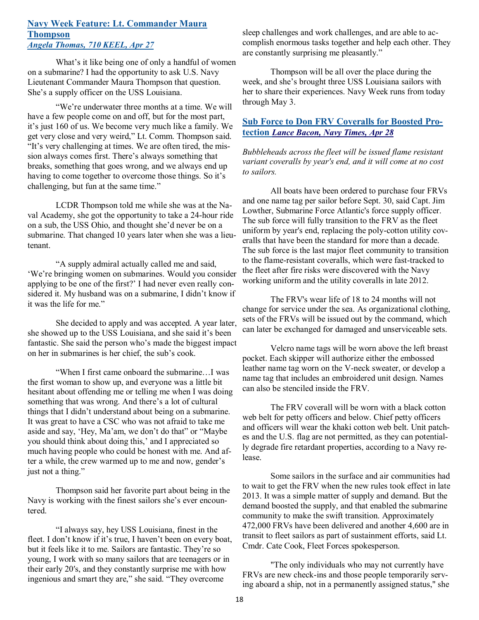#### **[Navy Week Feature: Lt. Commander Maura](file:///C:/Users/george/Downloads/USWN_28April2015.doc#Underwater#Underwater)  [Thompson](file:///C:/Users/george/Downloads/USWN_28April2015.doc#Underwater#Underwater)** *[Angela Thomas, 710 KEEL, Apr 27](file:///C:/Users/george/Downloads/USWN_28April2015.doc#Underwater#Underwater)*

What's it like being one of only a handful of women on a submarine? I had the opportunity to ask U.S. Navy Lieutenant Commander Maura Thompson that question. She's a supply officer on the USS Louisiana.

"We're underwater three months at a time. We will have a few people come on and off, but for the most part, it's just 160 of us. We become very much like a family. We get very close and very weird," Lt. Comm. Thompson said. "It's very challenging at times. We are often tired, the mission always comes first. There's always something that breaks, something that goes wrong, and we always end up having to come together to overcome those things. So it's challenging, but fun at the same time."

LCDR Thompson told me while she was at the Naval Academy, she got the opportunity to take a 24-hour ride on a sub, the USS Ohio, and thought she'd never be on a submarine. That changed 10 years later when she was a lieutenant.

―A supply admiral actually called me and said, ‗We're bringing women on submarines. Would you consider applying to be one of the first?' I had never even really considered it. My husband was on a submarine, I didn't know if it was the life for me."

She decided to apply and was accepted. A year later, she showed up to the USS Louisiana, and she said it's been fantastic. She said the person who's made the biggest impact on her in submarines is her chief, the sub's cook.

―When I first came onboard the submarine…I was the first woman to show up, and everyone was a little bit hesitant about offending me or telling me when I was doing something that was wrong. And there's a lot of cultural things that I didn't understand about being on a submarine. It was great to have a CSC who was not afraid to take me aside and say, 'Hey, Ma'am, we don't do that" or "Maybe" you should think about doing this,' and I appreciated so much having people who could be honest with me. And after a while, the crew warmed up to me and now, gender's just not a thing."

Thompson said her favorite part about being in the Navy is working with the finest sailors she's ever encountered.

"I always say, hey USS Louisiana, finest in the fleet. I don't know if it's true, I haven't been on every boat, but it feels like it to me. Sailors are fantastic. They're so young, I work with so many sailors that are teenagers or in their early 20′s, and they constantly surprise me with how ingenious and smart they are," she said. "They overcome

sleep challenges and work challenges, and are able to accomplish enormous tasks together and help each other. They are constantly surprising me pleasantly."

Thompson will be all over the place during the week, and she's brought three USS Louisiana sailors with her to share their experiences. Navy Week runs from today through May 3.

#### **Sub Force to Don FRV Coveralls for Boosted Protection** *Lance Bacon, Navy Times, Apr 28*

*Bubbleheads across the fleet will be issued flame resistant variant coveralls by year's end, and it will come at no cost to sailors.*

All boats have been ordered to purchase four FRVs and one name tag per sailor before Sept. 30, said Capt. Jim Lowther, Submarine Force Atlantic's force supply officer. The sub force will fully transition to the FRV as the fleet uniform by year's end, replacing the poly-cotton utility coveralls that have been the standard for more than a decade. The sub force is the last major fleet community to transition to the flame-resistant coveralls, which were fast-tracked to the fleet after fire risks were discovered with the Navy working uniform and the utility coveralls in late 2012.

The FRV's wear life of 18 to 24 months will not change for service under the sea. As organizational clothing, sets of the FRVs will be issued out by the command, which can later be exchanged for damaged and unserviceable sets.

Velcro name tags will be worn above the left breast pocket. Each skipper will authorize either the embossed leather name tag worn on the V-neck sweater, or develop a name tag that includes an embroidered unit design. Names can also be stenciled inside the FRV.

The FRV coverall will be worn with a black cotton web belt for petty officers and below. Chief petty officers and officers will wear the khaki cotton web belt. Unit patches and the U.S. flag are not permitted, as they can potentially degrade fire retardant properties, according to a Navy release.

Some sailors in the surface and air communities had to wait to get the FRV when the new rules took effect in late 2013. It was a simple matter of supply and demand. But the demand boosted the supply, and that enabled the submarine community to make the swift transition. Approximately 472,000 FRVs have been delivered and another 4,600 are in transit to fleet sailors as part of sustainment efforts, said Lt. Cmdr. Cate Cook, Fleet Forces spokesperson.

"The only individuals who may not currently have FRVs are new check-ins and those people temporarily serving aboard a ship, not in a permanently assigned status," she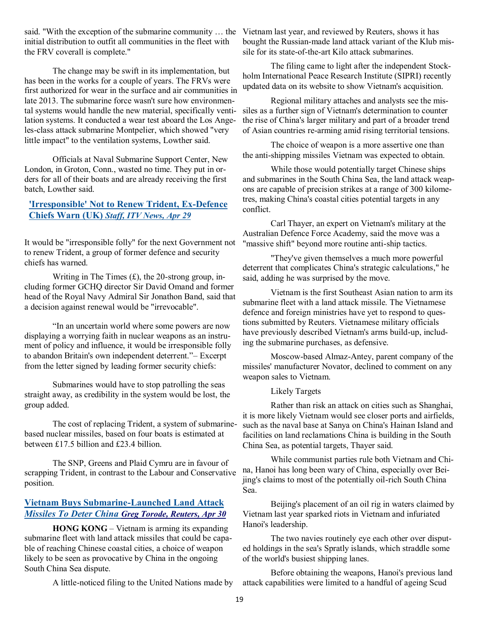said. "With the exception of the submarine community … the Vietnam last year, and reviewed by Reuters, shows it has initial distribution to outfit all communities in the fleet with the FRV coverall is complete."

The change may be swift in its implementation, but has been in the works for a couple of years. The FRVs were first authorized for wear in the surface and air communities in late 2013. The submarine force wasn't sure how environmental systems would handle the new material, specifically ventilation systems. It conducted a wear test aboard the Los Angeles-class attack submarine Montpelier, which showed "very little impact" to the ventilation systems, Lowther said.

Officials at Naval Submarine Support Center, New London, in Groton, Conn., wasted no time. They put in orders for all of their boats and are already receiving the first batch, Lowther said.

## **['Irresponsible' Not to Renew Trident, Ex](file:///C:/Users/george/Downloads/USWN_29April2015.doc#Underwater#Underwater)-Defence Chiefs Warn (UK)** *[Staff, ITV News, Apr 29](file:///C:/Users/george/Downloads/USWN_29April2015.doc#Underwater#Underwater)*

It would be "irresponsible folly" for the next Government not to renew Trident, a group of former defence and security chiefs has warned.

Writing in The Times  $(f)$ , the 20-strong group, including former GCHQ director Sir David Omand and former head of the Royal Navy Admiral Sir Jonathon Band, said that a decision against renewal would be "irrevocable".

"In an uncertain world where some powers are now displaying a worrying faith in nuclear weapons as an instrument of policy and influence, it would be irresponsible folly to abandon Britain's own independent deterrent."- Excerpt from the letter signed by leading former security chiefs:

Submarines would have to stop patrolling the seas straight away, as credibility in the system would be lost, the group added.

The cost of replacing Trident, a system of submarinebased nuclear missiles, based on four boats is estimated at between £17.5 billion and £23.4 billion.

The SNP, Greens and Plaid Cymru are in favour of scrapping Trident, in contrast to the Labour and Conservative position.

#### **Vietnam Buys Submarine-Launched Land Attack**  *Missiles To Deter China Greg Torode, Reuters, Apr 30*

**HONG KONG** – Vietnam is arming its expanding submarine fleet with land attack missiles that could be capable of reaching Chinese coastal cities, a choice of weapon likely to be seen as provocative by China in the ongoing South China Sea dispute.

A little-noticed filing to the United Nations made by

bought the Russian-made land attack variant of the Klub missile for its state-of-the-art Kilo attack submarines.

The filing came to light after the independent Stockholm International Peace Research Institute (SIPRI) recently updated data on its website to show Vietnam's acquisition.

Regional military attaches and analysts see the missiles as a further sign of Vietnam's determination to counter the rise of China's larger military and part of a broader trend of Asian countries re-arming amid rising territorial tensions.

The choice of weapon is a more assertive one than the anti-shipping missiles Vietnam was expected to obtain.

While those would potentially target Chinese ships and submarines in the South China Sea, the land attack weapons are capable of precision strikes at a range of 300 kilometres, making China's coastal cities potential targets in any conflict.

Carl Thayer, an expert on Vietnam's military at the Australian Defence Force Academy, said the move was a "massive shift" beyond more routine anti-ship tactics.

"They've given themselves a much more powerful deterrent that complicates China's strategic calculations," he said, adding he was surprised by the move.

Vietnam is the first Southeast Asian nation to arm its submarine fleet with a land attack missile. The Vietnamese defence and foreign ministries have yet to respond to questions submitted by Reuters. Vietnamese military officials have previously described Vietnam's arms build-up, including the submarine purchases, as defensive.

Moscow-based Almaz-Antey, parent company of the missiles' manufacturer Novator, declined to comment on any weapon sales to Vietnam.

Likely Targets

Rather than risk an attack on cities such as Shanghai, it is more likely Vietnam would see closer ports and airfields, such as the naval base at Sanya on China's Hainan Island and facilities on land reclamations China is building in the South China Sea, as potential targets, Thayer said.

While communist parties rule both Vietnam and China, Hanoi has long been wary of China, especially over Beijing's claims to most of the potentially oil-rich South China Sea.

Beijing's placement of an oil rig in waters claimed by Vietnam last year sparked riots in Vietnam and infuriated Hanoi's leadership.

The two navies routinely eye each other over disputed holdings in the sea's Spratly islands, which straddle some of the world's busiest shipping lanes.

Before obtaining the weapons, Hanoi's previous land attack capabilities were limited to a handful of ageing Scud